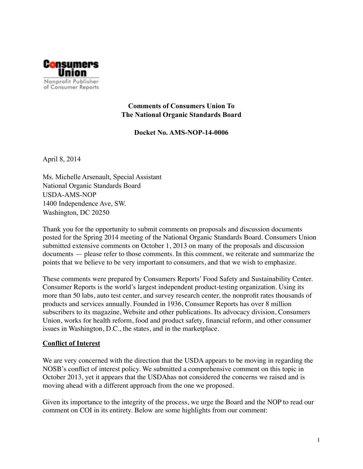

**Comments of Consumers Union To The National Organic Standards Board** 

**Docket No. AMS-NOP-14-0006**

April 8, 2014

Ms. Michelle Arsenault, Special Assistant National Organic Standards Board USDA-AMS-NOP 1400 Independence Ave, SW. Washington, DC 20250

Thank you for the opportunity to submit comments on proposals and discussion documents posted for the Spring 2014 meeting of the National Organic Standards Board. Consumers Union submitted extensive comments on October 1, 2013 on many of the proposals and discussion documents — please refer to those comments. In this comment, we reiterate and summarize the points that we believe to be very important to consumers, and that we wish to emphasize.

These comments were prepared by Consumers Reports' Food Safety and Sustainability Center. Consumer Reports is the world's largest independent product-testing organization. Using its more than 50 labs, auto test center, and survey research center, the nonprofit rates thousands of products and services annually. Founded in 1936, Consumer Reports has over 8 million subscribers to its magazine, Website and other publications. Its advocacy division, Consumers Union, works for health reform, food and product safety, financial reform, and other consumer issues in Washington, D.C., the states, and in the marketplace.

## **Conflict of Interest**

We are very concerned with the direction that the USDA appears to be moving in regarding the NOSB's conflict of interest policy. We submitted a comprehensive comment on this topic in October 2013, yet it appears that the USDAhas not considered the concerns we raised and is moving ahead with a different approach from the one we proposed.

Given its importance to the integrity of the process, we urge the Board and the NOP to read our comment on COI in its entirety. Below are some highlights from our comment: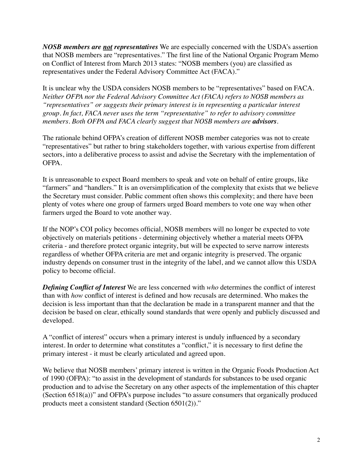*NOSB members are not representatives* We are especially concerned with the USDA's assertion that NOSB members are "representatives." The first line of the National Organic Program Memo on Conflict of Interest from March 2013 states: "NOSB members (you) are classified as representatives under the Federal Advisory Committee Act (FACA)."

It is unclear why the USDA considers NOSB members to be "representatives" based on FACA. *Neither OFPA nor the Federal Advisory Committee Act (FACA) refers to NOSB members as "representatives" or suggests their primary interest is in representing a particular interest group. In fact, FACA never uses the term "representative" to refer to advisory committee members. Both OFPA and FACA clearly suggest that NOSB members are advisors.*

The rationale behind OFPA's creation of different NOSB member categories was not to create "representatives" but rather to bring stakeholders together, with various expertise from different sectors, into a deliberative process to assist and advise the Secretary with the implementation of OFPA.

It is unreasonable to expect Board members to speak and vote on behalf of entire groups, like "farmers" and "handlers." It is an oversimplification of the complexity that exists that we believe the Secretary must consider. Public comment often shows this complexity; and there have been plenty of votes where one group of farmers urged Board members to vote one way when other farmers urged the Board to vote another way.

If the NOP's COI policy becomes official, NOSB members will no longer be expected to vote objectively on materials petitions - determining objectively whether a material meets OFPA criteria - and therefore protect organic integrity, but will be expected to serve narrow interests regardless of whether OFPA criteria are met and organic integrity is preserved. The organic industry depends on consumer trust in the integrity of the label, and we cannot allow this USDA policy to become official.

*Defining Conflict of Interest* We are less concerned with *who* determines the conflict of interest than with *how* conflict of interest is defined and how recusals are determined. Who makes the decision is less important than that the declaration be made in a transparent manner and that the decision be based on clear, ethically sound standards that were openly and publicly discussed and developed.

A "conflict of interest" occurs when a primary interest is unduly influenced by a secondary interest. In order to determine what constitutes a "conflict," it is necessary to first define the primary interest - it must be clearly articulated and agreed upon.

We believe that NOSB members' primary interest is written in the Organic Foods Production Act of 1990 (OFPA): "to assist in the development of standards for substances to be used organic production and to advise the Secretary on any other aspects of the implementation of this chapter (Section 6518(a))" and OFPA's purpose includes "to assure consumers that organically produced products meet a consistent standard (Section 6501(2))."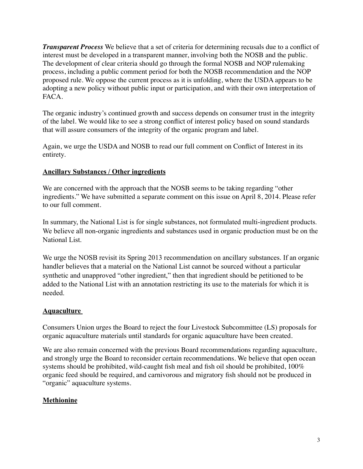*Transparent Process* We believe that a set of criteria for determining recusals due to a conflict of interest must be developed in a transparent manner, involving both the NOSB and the public. The development of clear criteria should go through the formal NOSB and NOP rulemaking process, including a public comment period for both the NOSB recommendation and the NOP proposed rule. We oppose the current process as it is unfolding, where the USDA appears to be adopting a new policy without public input or participation, and with their own interpretation of FACA.

The organic industry's continued growth and success depends on consumer trust in the integrity of the label. We would like to see a strong conflict of interest policy based on sound standards that will assure consumers of the integrity of the organic program and label.

Again, we urge the USDA and NOSB to read our full comment on Conflict of Interest in its entirety.

## **Ancillary Substances / Other ingredients**

We are concerned with the approach that the NOSB seems to be taking regarding "other ingredients." We have submitted a separate comment on this issue on April 8, 2014. Please refer to our full comment.

In summary, the National List is for single substances, not formulated multi-ingredient products. We believe all non-organic ingredients and substances used in organic production must be on the National List.

We urge the NOSB revisit its Spring 2013 recommendation on ancillary substances. If an organic handler believes that a material on the National List cannot be sourced without a particular synthetic and unapproved "other ingredient," then that ingredient should be petitioned to be added to the National List with an annotation restricting its use to the materials for which it is needed.

# **Aquaculture**

Consumers Union urges the Board to reject the four Livestock Subcommittee (LS) proposals for organic aquaculture materials until standards for organic aquaculture have been created.

We are also remain concerned with the previous Board recommendations regarding aquaculture, and strongly urge the Board to reconsider certain recommendations. We believe that open ocean systems should be prohibited, wild-caught fish meal and fish oil should be prohibited, 100% organic feed should be required, and carnivorous and migratory fish should not be produced in "organic" aquaculture systems.

# **Methionine**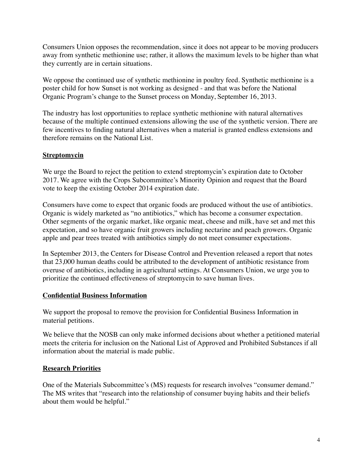Consumers Union opposes the recommendation, since it does not appear to be moving producers away from synthetic methionine use; rather, it allows the maximum levels to be higher than what they currently are in certain situations.

We oppose the continued use of synthetic methionine in poultry feed. Synthetic methionine is a poster child for how Sunset is not working as designed - and that was before the National Organic Program's change to the Sunset process on Monday, September 16, 2013.

The industry has lost opportunities to replace synthetic methionine with natural alternatives because of the multiple continued extensions allowing the use of the synthetic version. There are few incentives to finding natural alternatives when a material is granted endless extensions and therefore remains on the National List.

## **Streptomycin**

We urge the Board to reject the petition to extend streptomycin's expiration date to October 2017. We agree with the Crops Subcommittee's Minority Opinion and request that the Board vote to keep the existing October 2014 expiration date.

Consumers have come to expect that organic foods are produced without the use of antibiotics. Organic is widely marketed as "no antibiotics," which has become a consumer expectation. Other segments of the organic market, like organic meat, cheese and milk, have set and met this expectation, and so have organic fruit growers including nectarine and peach growers. Organic apple and pear trees treated with antibiotics simply do not meet consumer expectations.

In September 2013, the Centers for Disease Control and Prevention released a report that notes that 23,000 human deaths could be attributed to the development of antibiotic resistance from overuse of antibiotics, including in agricultural settings. At Consumers Union, we urge you to prioritize the continued effectiveness of streptomycin to save human lives.

## **Confidential Business Information**

We support the proposal to remove the provision for Confidential Business Information in material petitions.

We believe that the NOSB can only make informed decisions about whether a petitioned material meets the criteria for inclusion on the National List of Approved and Prohibited Substances if all information about the material is made public.

## **Research Priorities**

One of the Materials Subcommittee's (MS) requests for research involves "consumer demand." The MS writes that "research into the relationship of consumer buying habits and their beliefs about them would be helpful."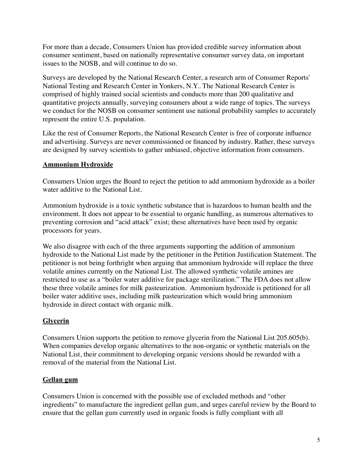For more than a decade, Consumers Union has provided credible survey information about consumer sentiment, based on nationally representative consumer survey data, on important issues to the NOSB, and will continue to do so.

Surveys are developed by the National Research Center, a research arm of Consumer Reports' National Testing and Research Center in Yonkers, N.Y.. The National Research Center is comprised of highly trained social scientists and conducts more than 200 qualitative and quantitative projects annually, surveying consumers about a wide range of topics. The surveys we conduct for the NOSB on consumer sentiment use national probability samples to accurately represent the entire U.S. population.

Like the rest of Consumer Reports, the National Research Center is free of corporate influence and advertising. Surveys are never commissioned or financed by industry. Rather, these surveys are designed by survey scientists to gather unbiased, objective information from consumers.

## **Ammonium Hydroxide**

Consumers Union urges the Board to reject the petition to add ammonium hydroxide as a boiler water additive to the National List.

Ammonium hydroxide is a toxic synthetic substance that is hazardous to human health and the environment. It does not appear to be essential to organic handling, as numerous alternatives to preventing corrosion and "acid attack" exist; these alternatives have been used by organic processors for years.

We also disagree with each of the three arguments supporting the addition of ammonium hydroxide to the National List made by the petitioner in the Petition Justification Statement. The petitioner is not being forthright when arguing that ammonium hydroxide will replace the three volatile amines currently on the National List. The allowed synthetic volatile amines are restricted to use as a "boiler water additive for package sterilization." The FDA does not allow these three volatile amines for milk pasteurization. Ammonium hydroxide is petitioned for all boiler water additive uses, including milk pasteurization which would bring ammonium hydroxide in direct contact with organic milk.

# **Glycerin**

Consumers Union supports the petition to remove glycerin from the National List 205.605(b). When companies develop organic alternatives to the non-organic or synthetic materials on the National List, their commitment to developing organic versions should be rewarded with a removal of the material from the National List.

## **Gellan gum**

Consumers Union is concerned with the possible use of excluded methods and "other ingredients" to manufacture the ingredient gellan gum, and urges careful review by the Board to ensure that the gellan gum currently used in organic foods is fully compliant with all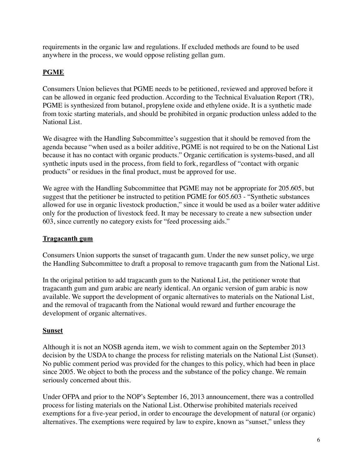requirements in the organic law and regulations. If excluded methods are found to be used anywhere in the process, we would oppose relisting gellan gum.

# **PGME**

Consumers Union believes that PGME needs to be petitioned, reviewed and approved before it can be allowed in organic feed production. According to the Technical Evaluation Report (TR), PGME is synthesized from butanol, propylene oxide and ethylene oxide. It is a synthetic made from toxic starting materials, and should be prohibited in organic production unless added to the National List.

We disagree with the Handling Subcommittee's suggestion that it should be removed from the agenda because "when used as a boiler additive, PGME is not required to be on the National List because it has no contact with organic products." Organic certification is systems-based, and all synthetic inputs used in the process, from field to fork, regardless of "contact with organic products" or residues in the final product, must be approved for use.

We agree with the Handling Subcommittee that PGME may not be appropriate for 205.605, but suggest that the petitioner be instructed to petition PGME for 605.603 - "Synthetic substances allowed for use in organic livestock production," since it would be used as a boiler water additive only for the production of livestock feed. It may be necessary to create a new subsection under 603, since currently no category exists for "feed processing aids."

## **Tragacanth gum**

Consumers Union supports the sunset of tragacanth gum. Under the new sunset policy, we urge the Handling Subcommittee to draft a proposal to remove tragacanth gum from the National List.

In the original petition to add tragacanth gum to the National List, the petitioner wrote that tragacanth gum and gum arabic are nearly identical. An organic version of gum arabic is now available. We support the development of organic alternatives to materials on the National List, and the removal of tragacanth from the National would reward and further encourage the development of organic alternatives.

## **Sunset**

Although it is not an NOSB agenda item, we wish to comment again on the September 2013 decision by the USDA to change the process for relisting materials on the National List (Sunset). No public comment period was provided for the changes to this policy, which had been in place since 2005. We object to both the process and the substance of the policy change. We remain seriously concerned about this.

Under OFPA and prior to the NOP's September 16, 2013 announcement, there was a controlled process for listing materials on the National List. Otherwise prohibited materials received exemptions for a five-year period, in order to encourage the development of natural (or organic) alternatives. The exemptions were required by law to expire, known as "sunset," unless they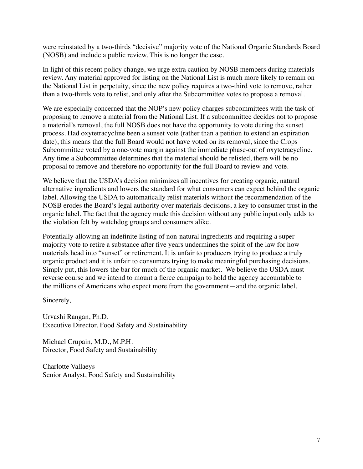were reinstated by a two-thirds "decisive" majority vote of the National Organic Standards Board (NOSB) and include a public review. This is no longer the case.

In light of this recent policy change, we urge extra caution by NOSB members during materials review. Any material approved for listing on the National List is much more likely to remain on the National List in perpetuity, since the new policy requires a two-third vote to remove, rather than a two-thirds vote to relist, and only after the Subcommittee votes to propose a removal.

We are especially concerned that the NOP's new policy charges subcommittees with the task of proposing to remove a material from the National List. If a subcommittee decides not to propose a material's removal, the full NOSB does not have the opportunity to vote during the sunset process. Had oxytetracycline been a sunset vote (rather than a petition to extend an expiration date), this means that the full Board would not have voted on its removal, since the Crops Subcommittee voted by a one-vote margin against the immediate phase-out of oxytetracycline. Any time a Subcommittee determines that the material should be relisted, there will be no proposal to remove and therefore no opportunity for the full Board to review and vote.

We believe that the USDA's decision minimizes all incentives for creating organic, natural alternative ingredients and lowers the standard for what consumers can expect behind the organic label. Allowing the USDA to automatically relist materials without the recommendation of the NOSB erodes the Board's legal authority over materials decisions, a key to consumer trust in the organic label. The fact that the agency made this decision without any public input only adds to the violation felt by watchdog groups and consumers alike.

Potentially allowing an indefinite listing of non-natural ingredients and requiring a supermajority vote to retire a substance after five years undermines the spirit of the law for how materials head into "sunset" or retirement. It is unfair to producers trying to produce a truly organic product and it is unfair to consumers trying to make meaningful purchasing decisions. Simply put, this lowers the bar for much of the organic market. We believe the USDA must reverse course and we intend to mount a fierce campaign to hold the agency accountable to the millions of Americans who expect more from the government—and the organic label.

Sincerely,

Urvashi Rangan, Ph.D. Executive Director, Food Safety and Sustainability

Michael Crupain, M.D., M.P.H. Director, Food Safety and Sustainability

Charlotte Vallaeys Senior Analyst, Food Safety and Sustainability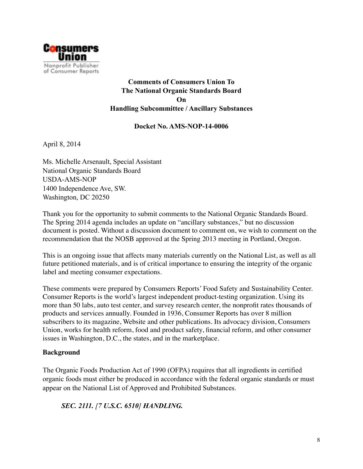

# **Comments of Consumers Union To The National Organic Standards Board On Handling Subcommittee / Ancillary Substances**

#### **Docket No. AMS-NOP-14-0006**

April 8, 2014

Ms. Michelle Arsenault, Special Assistant National Organic Standards Board USDA-AMS-NOP 1400 Independence Ave, SW. Washington, DC 20250

Thank you for the opportunity to submit comments to the National Organic Standards Board. The Spring 2014 agenda includes an update on "ancillary substances," but no discussion document is posted. Without a discussion document to comment on, we wish to comment on the recommendation that the NOSB approved at the Spring 2013 meeting in Portland, Oregon.

This is an ongoing issue that affects many materials currently on the National List, as well as all future petitioned materials, and is of critical importance to ensuring the integrity of the organic label and meeting consumer expectations.

These comments were prepared by Consumers Reports' Food Safety and Sustainability Center. Consumer Reports is the world's largest independent product-testing organization. Using its more than 50 labs, auto test center, and survey research center, the nonprofit rates thousands of products and services annually. Founded in 1936, Consumer Reports has over 8 million subscribers to its magazine, Website and other publications. Its advocacy division, Consumers Union, works for health reform, food and product safety, financial reform, and other consumer issues in Washington, D.C., the states, and in the marketplace.

#### **Background**

The Organic Foods Production Act of 1990 (OFPA) requires that all ingredients in certified organic foods must either be produced in accordance with the federal organic standards or must appear on the National List of Approved and Prohibited Substances.

# *SEC. 2111. [7 U.S.C. 6510] HANDLING.*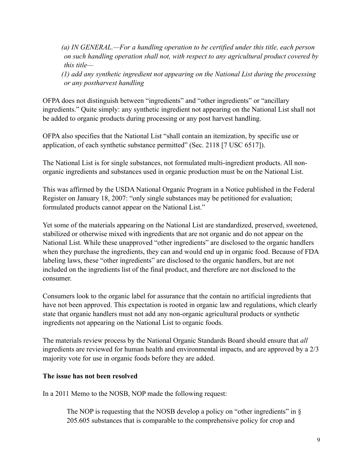*(a) IN GENERAL.—For a handling operation to be certified under this title, each person on such handling operation shall not, with respect to any agricultural product covered by this title—* 

*(1) add any synthetic ingredient not appearing on the National List during the processing or any postharvest handling*

OFPA does not distinguish between "ingredients" and "other ingredients" or "ancillary ingredients." Quite simply: any synthetic ingredient not appearing on the National List shall not be added to organic products during processing or any post harvest handling.

OFPA also specifies that the National List "shall contain an itemization, by specific use or application, of each synthetic substance permitted" (Sec. 2118 [7 USC 6517]).

The National List is for single substances, not formulated multi-ingredient products. All nonorganic ingredients and substances used in organic production must be on the National List.

This was affirmed by the USDA National Organic Program in a Notice published in the Federal Register on January 18, 2007: "only single substances may be petitioned for evaluation; formulated products cannot appear on the National List."

Yet some of the materials appearing on the National List are standardized, preserved, sweetened, stabilized or otherwise mixed with ingredients that are not organic and do not appear on the National List. While these unapproved "other ingredients" are disclosed to the organic handlers when they purchase the ingredients, they can and would end up in organic food. Because of FDA labeling laws, these "other ingredients" are disclosed to the organic handlers, but are not included on the ingredients list of the final product, and therefore are not disclosed to the consumer.

Consumers look to the organic label for assurance that the contain no artificial ingredients that have not been approved. This expectation is rooted in organic law and regulations, which clearly state that organic handlers must not add any non-organic agricultural products or synthetic ingredients not appearing on the National List to organic foods.

The materials review process by the National Organic Standards Board should ensure that *all* ingredients are reviewed for human health and environmental impacts, and are approved by a 2/3 majority vote for use in organic foods before they are added.

## **The issue has not been resolved**

In a 2011 Memo to the NOSB, NOP made the following request:

The NOP is requesting that the NOSB develop a policy on "other ingredients" in  $\S$ 205.605 substances that is comparable to the comprehensive policy for crop and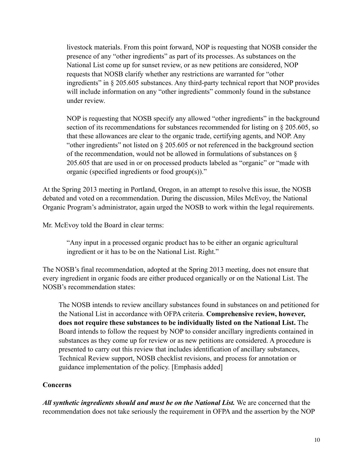livestock materials. From this point forward, NOP is requesting that NOSB consider the presence of any "other ingredients" as part of its processes. As substances on the National List come up for sunset review, or as new petitions are considered, NOP requests that NOSB clarify whether any restrictions are warranted for "other ingredients" in § 205.605 substances. Any third-party technical report that NOP provides will include information on any "other ingredients" commonly found in the substance under review.

NOP is requesting that NOSB specify any allowed "other ingredients" in the background section of its recommendations for substances recommended for listing on § 205.605, so that these allowances are clear to the organic trade, certifying agents, and NOP. Any "other ingredients" not listed on § 205.605 or not referenced in the background section of the recommendation, would not be allowed in formulations of substances on § 205.605 that are used in or on processed products labeled as "organic" or "made with organic (specified ingredients or food group(s))."

At the Spring 2013 meeting in Portland, Oregon, in an attempt to resolve this issue, the NOSB debated and voted on a recommendation. During the discussion, Miles McEvoy, the National Organic Program's administrator, again urged the NOSB to work within the legal requirements.

Mr. McEvoy told the Board in clear terms:

"Any input in a processed organic product has to be either an organic agricultural ingredient or it has to be on the National List. Right."

The NOSB's final recommendation, adopted at the Spring 2013 meeting, does not ensure that every ingredient in organic foods are either produced organically or on the National List. The NOSB's recommendation states:

The NOSB intends to review ancillary substances found in substances on and petitioned for the National List in accordance with OFPA criteria. **Comprehensive review, however, does not require these substances to be individually listed on the National List.** The Board intends to follow the request by NOP to consider ancillary ingredients contained in substances as they come up for review or as new petitions are considered. A procedure is presented to carry out this review that includes identification of ancillary substances, Technical Review support, NOSB checklist revisions, and process for annotation or guidance implementation of the policy. [Emphasis added]

## **Concerns**

*All synthetic ingredients should and must be on the National List.* We are concerned that the recommendation does not take seriously the requirement in OFPA and the assertion by the NOP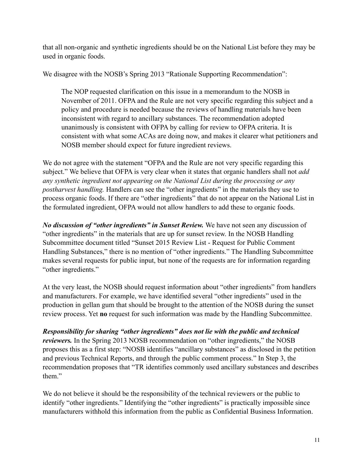that all non-organic and synthetic ingredients should be on the National List before they may be used in organic foods.

We disagree with the NOSB's Spring 2013 "Rationale Supporting Recommendation":

The NOP requested clarification on this issue in a memorandum to the NOSB in November of 2011. OFPA and the Rule are not very specific regarding this subject and a policy and procedure is needed because the reviews of handling materials have been inconsistent with regard to ancillary substances. The recommendation adopted unanimously is consistent with OFPA by calling for review to OFPA criteria. It is consistent with what some ACAs are doing now, and makes it clearer what petitioners and NOSB member should expect for future ingredient reviews.

We do not agree with the statement "OFPA and the Rule are not very specific regarding this subject." We believe that OFPA is very clear when it states that organic handlers shall not *add any synthetic ingredient not appearing on the National List during the processing or any postharvest handling.* Handlers can see the "other ingredients" in the materials they use to process organic foods. If there are "other ingredients" that do not appear on the National List in the formulated ingredient, OFPA would not allow handlers to add these to organic foods.

*No discussion of "other ingredients" in Sunset Review.* We have not seen any discussion of "other ingredients" in the materials that are up for sunset review. In the NOSB Handling Subcommittee document titled "Sunset 2015 Review List - Request for Public Comment Handling Substances," there is no mention of "other ingredients." The Handling Subcommittee makes several requests for public input, but none of the requests are for information regarding "other ingredients."

At the very least, the NOSB should request information about "other ingredients" from handlers and manufacturers. For example, we have identified several "other ingredients" used in the production in gellan gum that should be brought to the attention of the NOSB during the sunset review process. Yet **no** request for such information was made by the Handling Subcommittee.

*Responsibility for sharing "other ingredients" does not lie with the public and technical reviewers*. In the Spring 2013 NOSB recommendation on "other ingredients," the NOSB proposes this as a first step: "NOSB identifies "ancillary substances" as disclosed in the petition and previous Technical Reports, and through the public comment process." In Step 3, the recommendation proposes that "TR identifies commonly used ancillary substances and describes them."

We do not believe it should be the responsibility of the technical reviewers or the public to identify "other ingredients." Identifying the "other ingredients" is practically impossible since manufacturers withhold this information from the public as Confidential Business Information.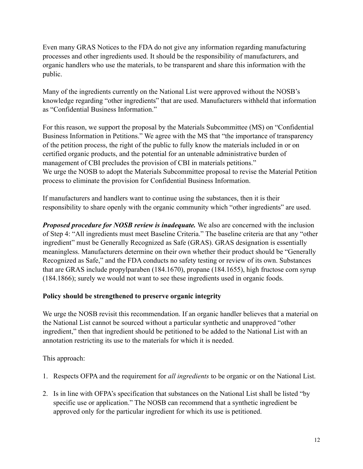Even many GRAS Notices to the FDA do not give any information regarding manufacturing processes and other ingredients used. It should be the responsibility of manufacturers, and organic handlers who use the materials, to be transparent and share this information with the public.

Many of the ingredients currently on the National List were approved without the NOSB's knowledge regarding "other ingredients" that are used. Manufacturers withheld that information as "Confidential Business Information."

For this reason, we support the proposal by the Materials Subcommittee (MS) on "Confidential Business Information in Petitions." We agree with the MS that "the importance of transparency of the petition process, the right of the public to fully know the materials included in or on certified organic products, and the potential for an untenable administrative burden of management of CBI precludes the provision of CBI in materials petitions." We urge the NOSB to adopt the Materials Subcommittee proposal to revise the Material Petition process to eliminate the provision for Confidential Business Information.

If manufacturers and handlers want to continue using the substances, then it is their responsibility to share openly with the organic community which "other ingredients" are used.

*Proposed procedure for NOSB review is inadequate.* We also are concerned with the inclusion of Step 4: "All ingredients must meet Baseline Criteria." The baseline criteria are that any "other ingredient" must be Generally Recognized as Safe (GRAS). GRAS designation is essentially meaningless. Manufacturers determine on their own whether their product should be "Generally Recognized as Safe," and the FDA conducts no safety testing or review of its own. Substances that are GRAS include propylparaben (184.1670), propane (184.1655), high fructose corn syrup (184.1866); surely we would not want to see these ingredients used in organic foods.

## **Policy should be strengthened to preserve organic integrity**

We urge the NOSB revisit this recommendation. If an organic handler believes that a material on the National List cannot be sourced without a particular synthetic and unapproved "other ingredient," then that ingredient should be petitioned to be added to the National List with an annotation restricting its use to the materials for which it is needed.

This approach:

- 1. Respects OFPA and the requirement for *all ingredients* to be organic or on the National List.
- 2. Is in line with OFPA's specification that substances on the National List shall be listed "by specific use or application." The NOSB can recommend that a synthetic ingredient be approved only for the particular ingredient for which its use is petitioned.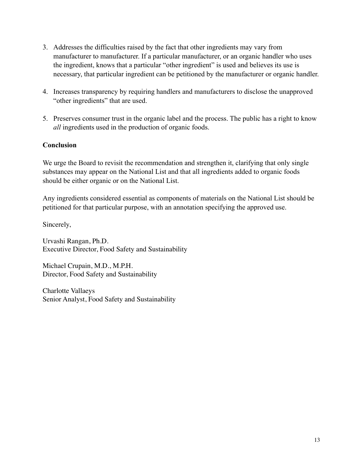- 3. Addresses the difficulties raised by the fact that other ingredients may vary from manufacturer to manufacturer. If a particular manufacturer, or an organic handler who uses the ingredient, knows that a particular "other ingredient" is used and believes its use is necessary, that particular ingredient can be petitioned by the manufacturer or organic handler.
- 4. Increases transparency by requiring handlers and manufacturers to disclose the unapproved "other ingredients" that are used.
- 5. Preserves consumer trust in the organic label and the process. The public has a right to know *all* ingredients used in the production of organic foods.

## **Conclusion**

We urge the Board to revisit the recommendation and strengthen it, clarifying that only single substances may appear on the National List and that all ingredients added to organic foods should be either organic or on the National List.

Any ingredients considered essential as components of materials on the National List should be petitioned for that particular purpose, with an annotation specifying the approved use.

Sincerely,

Urvashi Rangan, Ph.D. Executive Director, Food Safety and Sustainability

Michael Crupain, M.D., M.P.H. Director, Food Safety and Sustainability

Charlotte Vallaeys Senior Analyst, Food Safety and Sustainability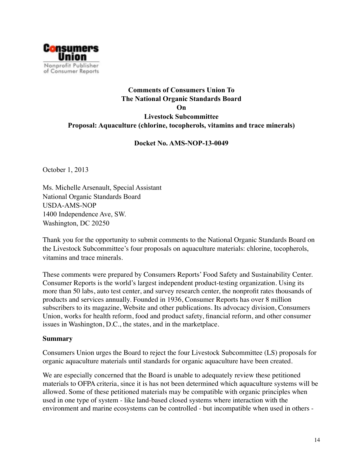

# **Comments of Consumers Union To The National Organic Standards Board On Livestock Subcommittee Proposal: Aquaculture (chlorine, tocopherols, vitamins and trace minerals)**

## **Docket No. AMS-NOP-13-0049**

October 1, 2013

Ms. Michelle Arsenault, Special Assistant National Organic Standards Board USDA-AMS-NOP 1400 Independence Ave, SW. Washington, DC 20250

Thank you for the opportunity to submit comments to the National Organic Standards Board on the Livestock Subcommittee's four proposals on aquaculture materials: chlorine, tocopherols, vitamins and trace minerals.

These comments were prepared by Consumers Reports' Food Safety and Sustainability Center. Consumer Reports is the world's largest independent product-testing organization. Using its more than 50 labs, auto test center, and survey research center, the nonprofit rates thousands of products and services annually. Founded in 1936, Consumer Reports has over 8 million subscribers to its magazine, Website and other publications. Its advocacy division, Consumers Union, works for health reform, food and product safety, financial reform, and other consumer issues in Washington, D.C., the states, and in the marketplace.

#### **Summary**

Consumers Union urges the Board to reject the four Livestock Subcommittee (LS) proposals for organic aquaculture materials until standards for organic aquaculture have been created.

We are especially concerned that the Board is unable to adequately review these petitioned materials to OFPA criteria, since it is has not been determined which aquaculture systems will be allowed. Some of these petitioned materials may be compatible with organic principles when used in one type of system - like land-based closed systems where interaction with the environment and marine ecosystems can be controlled - but incompatible when used in others -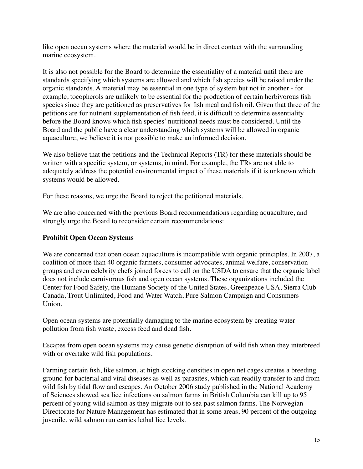like open ocean systems where the material would be in direct contact with the surrounding marine ecosystem.

It is also not possible for the Board to determine the essentiality of a material until there are standards specifying which systems are allowed and which fish species will be raised under the organic standards. A material may be essential in one type of system but not in another - for example, tocopherols are unlikely to be essential for the production of certain herbivorous fish species since they are petitioned as preservatives for fish meal and fish oil. Given that three of the petitions are for nutrient supplementation of fish feed, it is difficult to determine essentiality before the Board knows which fish species' nutritional needs must be considered. Until the Board and the public have a clear understanding which systems will be allowed in organic aquaculture, we believe it is not possible to make an informed decision.

We also believe that the petitions and the Technical Reports (TR) for these materials should be written with a specific system, or systems, in mind. For example, the TRs are not able to adequately address the potential environmental impact of these materials if it is unknown which systems would be allowed.

For these reasons, we urge the Board to reject the petitioned materials.

We are also concerned with the previous Board recommendations regarding aquaculture, and strongly urge the Board to reconsider certain recommendations:

## **Prohibit Open Ocean Systems**

We are concerned that open ocean aquaculture is incompatible with organic principles. In 2007, a coalition of more than 40 organic farmers, consumer advocates, animal welfare, conservation groups and even celebrity chefs joined forces to call on the USDA to ensure that the organic label does not include carnivorous fish and open ocean systems. These organizations included the Center for Food Safety, the Humane Society of the United States, Greenpeace USA, Sierra Club Canada, Trout Unlimited, Food and Water Watch, Pure Salmon Campaign and Consumers Union.

Open ocean systems are potentially damaging to the marine ecosystem by creating water pollution from fish waste, excess feed and dead fish.

Escapes from open ocean systems may cause genetic disruption of wild fish when they interbreed with or overtake wild fish populations.

Farming certain fish, like salmon, at high stocking densities in open net cages creates a breeding ground for bacterial and viral diseases as well as parasites, which can readily transfer to and from wild fish by tidal flow and escapes. An October 2006 study published in the National Academy of Sciences showed sea lice infections on salmon farms in British Columbia can kill up to 95 percent of young wild salmon as they migrate out to sea past salmon farms. The Norwegian Directorate for Nature Management has estimated that in some areas, 90 percent of the outgoing juvenile, wild salmon run carries lethal lice levels.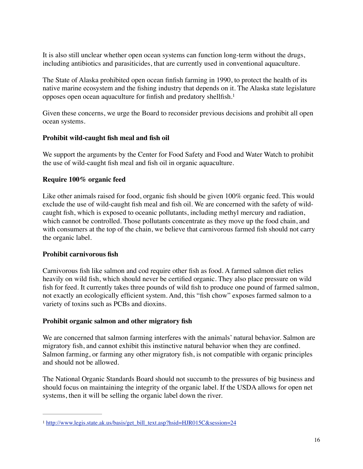It is also still unclear whether open ocean systems can function long-term without the drugs, including antibiotics and parasiticides, that are currently used in conventional aquaculture.

The State of Alaska prohibited open ocean finfish farming in 1990, to protect the health of its native marine ecosystem and the fishing industry that depends on it. The Alaska state legislature opposes open ocean aquaculture for finfish and predatory shellfish.1

Given these concerns, we urge the Board to reconsider previous decisions and prohibit all open ocean systems.

## **Prohibit wild-caught fish meal and fish oil**

We support the arguments by the Center for Food Safety and Food and Water Watch to prohibit the use of wild-caught fish meal and fish oil in organic aquaculture.

# **Require 100% organic feed**

Like other animals raised for food, organic fish should be given 100% organic feed. This would exclude the use of wild-caught fish meal and fish oil. We are concerned with the safety of wildcaught fish, which is exposed to oceanic pollutants, including methyl mercury and radiation, which cannot be controlled. Those pollutants concentrate as they move up the food chain, and with consumers at the top of the chain, we believe that carnivorous farmed fish should not carry the organic label.

# **Prohibit carnivorous fish**

Carnivorous fish like salmon and cod require other fish as food. A farmed salmon diet relies heavily on wild fish, which should never be certified organic. They also place pressure on wild fish for feed. It currently takes three pounds of wild fish to produce one pound of farmed salmon, not exactly an ecologically efficient system. And, this "fish chow" exposes farmed salmon to a variety of toxins such as PCBs and dioxins.

# **Prohibit organic salmon and other migratory fish**

We are concerned that salmon farming interferes with the animals' natural behavior. Salmon are migratory fish, and cannot exhibit this instinctive natural behavior when they are confined. Salmon farming, or farming any other migratory fish, is not compatible with organic principles and should not be allowed.

The National Organic Standards Board should not succumb to the pressures of big business and should focus on maintaining the integrity of the organic label. If the USDA allows for open net systems, then it will be selling the organic label down the river.

<sup>&</sup>lt;sup>1</sup> http://www.legis.state.ak.us/basis/get\_bill\_text.asp?hsid=HJR015C&session=24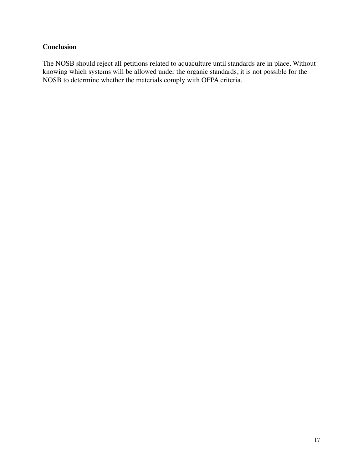# **Conclusion**

The NOSB should reject all petitions related to aquaculture until standards are in place. Without knowing which systems will be allowed under the organic standards, it is not possible for the NOSB to determine whether the materials comply with OFPA criteria.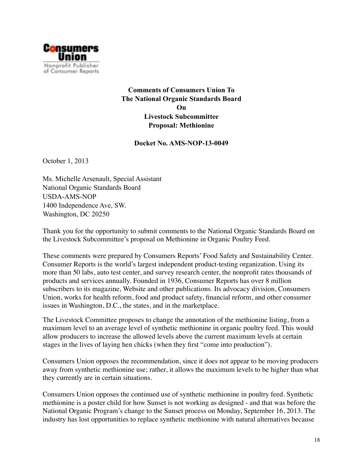

**Comments of Consumers Union To The National Organic Standards Board On Livestock Subcommittee Proposal: Methionine** 

**Docket No. AMS-NOP-13-0049** 

October 1, 2013

Ms. Michelle Arsenault, Special Assistant National Organic Standards Board USDA-AMS-NOP 1400 Independence Ave, SW. Washington, DC 20250

Thank you for the opportunity to submit comments to the National Organic Standards Board on the Livestock Subcommittee's proposal on Methionine in Organic Poultry Feed.

These comments were prepared by Consumers Reports' Food Safety and Sustainability Center. Consumer Reports is the world's largest independent product-testing organization. Using its more than 50 labs, auto test center, and survey research center, the nonprofit rates thousands of products and services annually. Founded in 1936, Consumer Reports has over 8 million subscribers to its magazine, Website and other publications. Its advocacy division, Consumers Union, works for health reform, food and product safety, financial reform, and other consumer issues in Washington, D.C., the states, and in the marketplace.

The Livestock Committee proposes to change the annotation of the methionine listing, from a maximum level to an average level of synthetic methionine in organic poultry feed. This would allow producers to increase the allowed levels above the current maximum levels at certain stages in the lives of laying hen chicks (when they first "come into production").

Consumers Union opposes the recommendation, since it does not appear to be moving producers away from synthetic methionine use; rather, it allows the maximum levels to be higher than what they currently are in certain situations.

Consumers Union opposes the continued use of synthetic methionine in poultry feed. Synthetic methionine is a poster child for how Sunset is not working as designed - and that was before the National Organic Program's change to the Sunset process on Monday, September 16, 2013. The industry has lost opportunities to replace synthetic methionine with natural alternatives because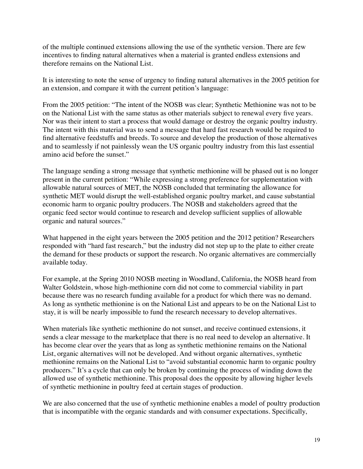of the multiple continued extensions allowing the use of the synthetic version. There are few incentives to finding natural alternatives when a material is granted endless extensions and therefore remains on the National List.

It is interesting to note the sense of urgency to finding natural alternatives in the 2005 petition for an extension, and compare it with the current petition's language:

From the 2005 petition: "The intent of the NOSB was clear; Synthetic Methionine was not to be on the National List with the same status as other materials subject to renewal every five years. Nor was their intent to start a process that would damage or destroy the organic poultry industry. The intent with this material was to send a message that hard fast research would be required to find alternative feedstuffs and breeds. To source and develop the production of those alternatives and to seamlessly if not painlessly wean the US organic poultry industry from this last essential amino acid before the sunset."

The language sending a strong message that synthetic methionine will be phased out is no longer present in the current petition: "While expressing a strong preference for supplementation with allowable natural sources of MET, the NOSB concluded that terminating the allowance for synthetic MET would disrupt the well-established organic poultry market, and cause substantial economic harm to organic poultry producers. The NOSB and stakeholders agreed that the organic feed sector would continue to research and develop sufficient supplies of allowable organic and natural sources."

What happened in the eight years between the 2005 petition and the 2012 petition? Researchers responded with "hard fast research," but the industry did not step up to the plate to either create the demand for these products or support the research. No organic alternatives are commercially available today.

For example, at the Spring 2010 NOSB meeting in Woodland, California, the NOSB heard from Walter Goldstein, whose high-methionine corn did not come to commercial viability in part because there was no research funding available for a product for which there was no demand. As long as synthetic methionine is on the National List and appears to be on the National List to stay, it is will be nearly impossible to fund the research necessary to develop alternatives.

When materials like synthetic methionine do not sunset, and receive continued extensions, it sends a clear message to the marketplace that there is no real need to develop an alternative. It has become clear over the years that as long as synthetic methionine remains on the National List, organic alternatives will not be developed. And without organic alternatives, synthetic methionine remains on the National List to "avoid substantial economic harm to organic poultry producers." It's a cycle that can only be broken by continuing the process of winding down the allowed use of synthetic methionine. This proposal does the opposite by allowing higher levels of synthetic methionine in poultry feed at certain stages of production.

We are also concerned that the use of synthetic methionine enables a model of poultry production that is incompatible with the organic standards and with consumer expectations. Specifically,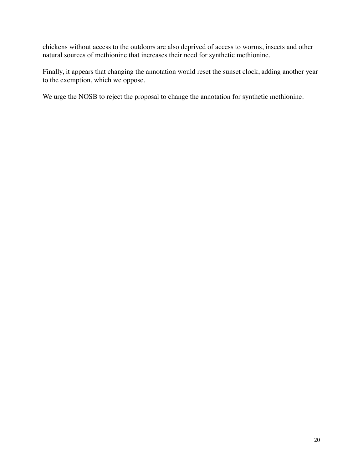chickens without access to the outdoors are also deprived of access to worms, insects and other natural sources of methionine that increases their need for synthetic methionine.

Finally, it appears that changing the annotation would reset the sunset clock, adding another year to the exemption, which we oppose.

We urge the NOSB to reject the proposal to change the annotation for synthetic methionine.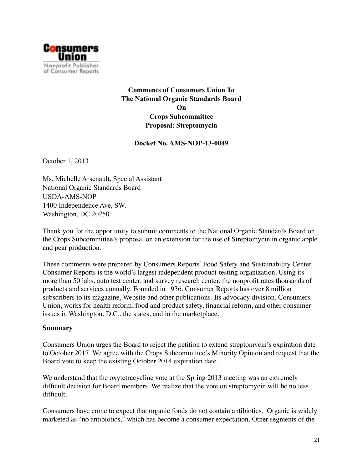

**Comments of Consumers Union To The National Organic Standards Board On Crops Subcommittee Proposal: Streptomycin** 

**Docket No. AMS-NOP-13-0049** 

October 1, 2013

Ms. Michelle Arsenault, Special Assistant National Organic Standards Board USDA-AMS-NOP 1400 Independence Ave, SW. Washington, DC 20250

Thank you for the opportunity to submit comments to the National Organic Standards Board on the Crops Subcommittee's proposal on an extension for the use of Streptomycin in organic apple and pear production.

These comments were prepared by Consumers Reports' Food Safety and Sustainability Center. Consumer Reports is the world's largest independent product-testing organization. Using its more than 50 labs, auto test center, and survey research center, the nonprofit rates thousands of products and services annually. Founded in 1936, Consumer Reports has over 8 million subscribers to its magazine, Website and other publications. Its advocacy division, Consumers Union, works for health reform, food and product safety, financial reform, and other consumer issues in Washington, D.C., the states, and in the marketplace.

#### **Summary**

Consumers Union urges the Board to reject the petition to extend streptomycin's expiration date to October 2017. We agree with the Crops Subcommittee's Minority Opinion and request that the Board vote to keep the existing October 2014 expiration date.

We understand that the oxytetracycline vote at the Spring 2013 meeting was an extremely difficult decision for Board members. We realize that the vote on streptomycin will be no less difficult.

Consumers have come to expect that organic foods do not contain antibiotics. Organic is widely marketed as "no antibiotics," which has become a consumer expectation. Other segments of the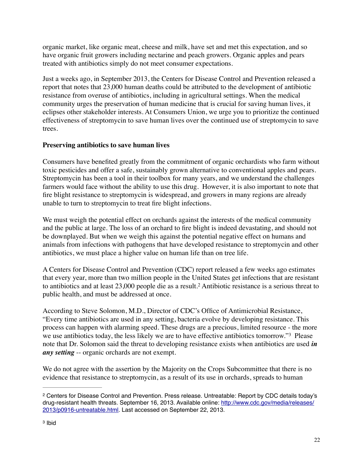organic market, like organic meat, cheese and milk, have set and met this expectation, and so have organic fruit growers including nectarine and peach growers. Organic apples and pears treated with antibiotics simply do not meet consumer expectations.

Just a weeks ago, in September 2013, the Centers for Disease Control and Prevention released a report that notes that 23,000 human deaths could be attributed to the development of antibiotic resistance from overuse of antibiotics, including in agricultural settings. When the medical community urges the preservation of human medicine that is crucial for saving human lives, it eclipses other stakeholder interests. At Consumers Union, we urge you to prioritize the continued effectiveness of streptomycin to save human lives over the continued use of streptomycin to save trees.

## **Preserving antibiotics to save human lives**

Consumers have benefited greatly from the commitment of organic orchardists who farm without toxic pesticides and offer a safe, sustainably grown alternative to conventional apples and pears. Streptomycin has been a tool in their toolbox for many years, and we understand the challenges farmers would face without the ability to use this drug. However, it is also important to note that fire blight resistance to streptomycin is widespread, and growers in many regions are already unable to turn to streptomycin to treat fire blight infections.

We must weigh the potential effect on orchards against the interests of the medical community and the public at large. The loss of an orchard to fire blight is indeed devastating, and should not be downplayed. But when we weigh this against the potential negative effect on humans and animals from infections with pathogens that have developed resistance to streptomycin and other antibiotics, we must place a higher value on human life than on tree life.

A Centers for Disease Control and Prevention (CDC) report released a few weeks ago estimates that every year, more than two million people in the United States get infections that are resistant to antibiotics and at least 23,000 people die as a result.<sup>2</sup> Antibiotic resistance is a serious threat to public health, and must be addressed at once.

According to Steve Solomon, M.D., Director of CDC's Office of Antimicrobial Resistance, "Every time antibiotics are used in any setting, bacteria evolve by developing resistance. This process can happen with alarming speed. These drugs are a precious, limited resource - the more we use antibiotics today, the less likely we are to have effective antibiotics tomorrow."<sup>3</sup> Please note that Dr. Solomon said the threat to developing resistance exists when antibiotics are used *in any setting* -- organic orchards are not exempt.

We do not agree with the assertion by the Majority on the Crops Subcommittee that there is no evidence that resistance to streptomycin, as a result of its use in orchards, spreads to human

Centers for Disease Control and Prevention. Press release. Untreatable: Report by CDC details today's 2 drug-resistant health threats. September 16, 2013. Available online: http://www.cdc.gov/media/releases/ 2013/p0916-untreatable.html. Last accessed on September 22, 2013.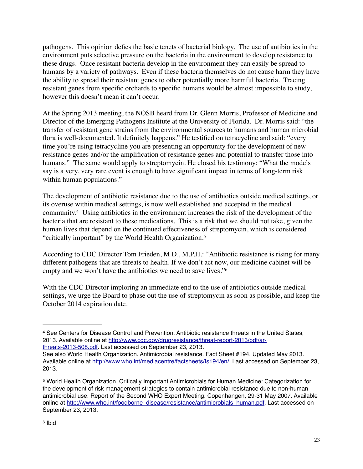pathogens. This opinion defies the basic tenets of bacterial biology. The use of antibiotics in the environment puts selective pressure on the bacteria in the environment to develop resistance to these drugs. Once resistant bacteria develop in the environment they can easily be spread to humans by a variety of pathways. Even if these bacteria themselves do not cause harm they have the ability to spread their resistant genes to other potentially more harmful bacteria. Tracing resistant genes from specific orchards to specific humans would be almost impossible to study, however this doesn't mean it can't occur.

At the Spring 2013 meeting, the NOSB heard from Dr. Glenn Morris, Professor of Medicine and Director of the Emerging Pathogens Institute at the University of Florida. Dr. Morris said: "the transfer of resistant gene strains from the environmental sources to humans and human microbial flora is well-documented. It definitely happens." He testified on tetracycline and said: "every time you're using tetracycline you are presenting an opportunity for the development of new resistance genes and/or the amplification of resistance genes and potential to transfer those into humans." The same would apply to streptomycin. He closed his testimony: "What the models say is a very, very rare event is enough to have significant impact in terms of long-term risk within human populations."

The development of antibiotic resistance due to the use of antibiotics outside medical settings, or its overuse within medical settings, is now well established and accepted in the medical community.<sup>4</sup> Using antibiotics in the environment increases the risk of the development of the bacteria that are resistant to these medications. This is a risk that we should not take, given the human lives that depend on the continued effectiveness of streptomycin, which is considered "critically important" by the World Health Organization.5

According to CDC Director Tom Frieden, M.D., M.P.H.: "Antibiotic resistance is rising for many different pathogens that are threats to health. If we don't act now, our medicine cabinet will be empty and we won't have the antibiotics we need to save lives."6

With the CDC Director imploring an immediate end to the use of antibiotics outside medical settings, we urge the Board to phase out the use of streptomycin as soon as possible, and keep the October 2014 expiration date.

See Centers for Disease Control and Prevention. Antibiotic resistance threats in the United States, 4 2013. Available online at http://www.cdc.gov/drugresistance/threat-report-2013/pdf/arthreats-2013-508.pdf. Last accessed on September 23, 2013.

See also World Health Organization. Antimicrobial resistance. Fact Sheet #194. Updated May 2013. Available online at http://www.who.int/mediacentre/factsheets/fs194/en/. Last accessed on September 23, 2013.

World Health Organization. Critically Important Antimicrobials for Human Medicine: Categorization for 5 the development of risk management strategies to contain antimicrobial resistance due to non-human antimicrobial use. Report of the Second WHO Expert Meeting. Copenhangen, 29-31 May 2007. Available online at http://www.who.int/foodborne\_disease/resistance/antimicrobials\_human.pdf. Last accessed on September 23, 2013.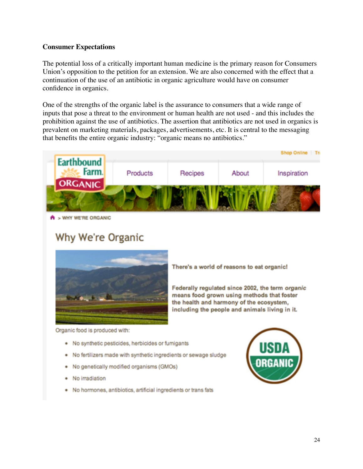#### **Consumer Expectations**

The potential loss of a critically important human medicine is the primary reason for Consumers Union's opposition to the petition for an extension. We are also concerned with the effect that a continuation of the use of an antibiotic in organic agriculture would have on consumer confidence in organics.

One of the strengths of the organic label is the assurance to consumers that a wide range of inputs that pose a threat to the environment or human health are not used - and this includes the prohibition against the use of antibiotics. The assertion that antibiotics are not used in organics is prevalent on marketing materials, packages, advertisements, etc. It is central to the messaging that benefits the entire organic industry: "organic means no antibiotics."



<sup>&</sup>gt; WHY WE'RE ORGANIC

# Why We're Organic



There's a world of reasons to eat organic!

Federally regulated since 2002, the term organic means food grown using methods that foster the health and harmony of the ecosystem, including the people and animals living in it.

Organic food is produced with:

- No synthetic pesticides, herbicides or furnigants
- No fertilizers made with synthetic ingredients or sewage sludge
- No genetically modified organisms (GMOs) ٠
- No irradiation
- No hormones, antibiotics, artificial ingredients or trans fats ٠

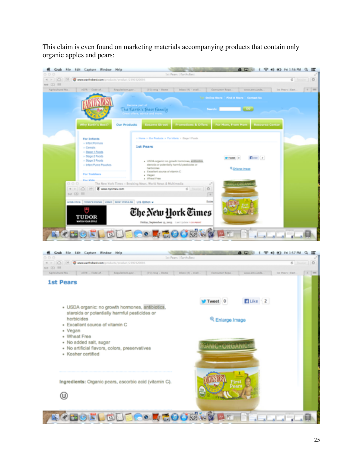This claim is even found on marketing materials accompanying products that contain only organic apples and pears:



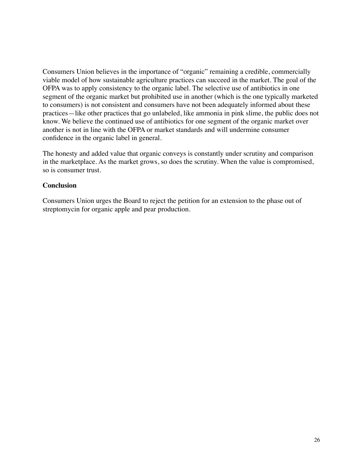Consumers Union believes in the importance of "organic" remaining a credible, commercially viable model of how sustainable agriculture practices can succeed in the market. The goal of the OFPA was to apply consistency to the organic label. The selective use of antibiotics in one segment of the organic market but prohibited use in another (which is the one typically marketed to consumers) is not consistent and consumers have not been adequately informed about these practices—like other practices that go unlabeled, like ammonia in pink slime, the public does not know. We believe the continued use of antibiotics for one segment of the organic market over another is not in line with the OFPA or market standards and will undermine consumer confidence in the organic label in general.

The honesty and added value that organic conveys is constantly under scrutiny and comparison in the marketplace. As the market grows, so does the scrutiny. When the value is compromised, so is consumer trust.

## **Conclusion**

Consumers Union urges the Board to reject the petition for an extension to the phase out of streptomycin for organic apple and pear production.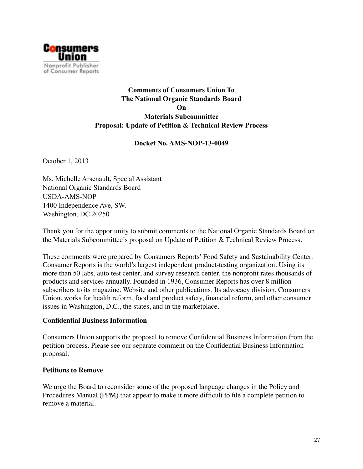

# **Comments of Consumers Union To The National Organic Standards Board On Materials Subcommittee Proposal: Update of Petition & Technical Review Process**

## **Docket No. AMS-NOP-13-0049**

October 1, 2013

Ms. Michelle Arsenault, Special Assistant National Organic Standards Board USDA-AMS-NOP 1400 Independence Ave, SW. Washington, DC 20250

Thank you for the opportunity to submit comments to the National Organic Standards Board on the Materials Subcommittee's proposal on Update of Petition & Technical Review Process.

These comments were prepared by Consumers Reports' Food Safety and Sustainability Center. Consumer Reports is the world's largest independent product-testing organization. Using its more than 50 labs, auto test center, and survey research center, the nonprofit rates thousands of products and services annually. Founded in 1936, Consumer Reports has over 8 million subscribers to its magazine, Website and other publications. Its advocacy division, Consumers Union, works for health reform, food and product safety, financial reform, and other consumer issues in Washington, D.C., the states, and in the marketplace.

#### **Confidential Business Information**

Consumers Union supports the proposal to remove Confidential Business Information from the petition process. Please see our separate comment on the Confidential Business Information proposal.

#### **Petitions to Remove**

We urge the Board to reconsider some of the proposed language changes in the Policy and Procedures Manual (PPM) that appear to make it more difficult to file a complete petition to remove a material.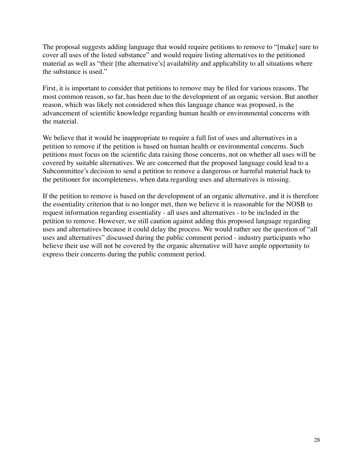The proposal suggests adding language that would require petitions to remove to "[make] sure to cover all uses of the listed substance" and would require listing alternatives to the petitioned material as well as "their [the alternative's] availability and applicability to all situations where the substance is used."

First, it is important to consider that petitions to remove may be filed for various reasons. The most common reason, so far, has been due to the development of an organic version. But another reason, which was likely not considered when this language chance was proposed, is the advancement of scientific knowledge regarding human health or environmental concerns with the material.

We believe that it would be inappropriate to require a full list of uses and alternatives in a petition to remove if the petition is based on human health or environmental concerns. Such petitions must focus on the scientific data raising those concerns, not on whether all uses will be covered by suitable alternatives. We are concerned that the proposed language could lead to a Subcommittee's decision to send a petition to remove a dangerous or harmful material back to the petitioner for incompleteness, when data regarding uses and alternatives is missing.

If the petition to remove is based on the development of an organic alternative, and it is therefore the essentiality criterion that is no longer met, then we believe it is reasonable for the NOSB to request information regarding essentiality - all uses and alternatives - to be included in the petition to remove. However, we still caution against adding this proposed language regarding uses and alternatives because it could delay the process. We would rather see the question of "all uses and alternatives" discussed during the public comment period - industry participants who believe their use will not be covered by the organic alternative will have ample opportunity to express their concerns during the public comment period.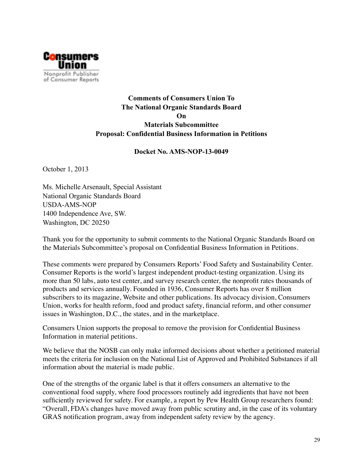

# **Comments of Consumers Union To The National Organic Standards Board On Materials Subcommittee Proposal: Confidential Business Information in Petitions**

#### **Docket No. AMS-NOP-13-0049**

October 1, 2013

Ms. Michelle Arsenault, Special Assistant National Organic Standards Board USDA-AMS-NOP 1400 Independence Ave, SW. Washington, DC 20250

Thank you for the opportunity to submit comments to the National Organic Standards Board on the Materials Subcommittee's proposal on Confidential Business Information in Petitions.

These comments were prepared by Consumers Reports' Food Safety and Sustainability Center. Consumer Reports is the world's largest independent product-testing organization. Using its more than 50 labs, auto test center, and survey research center, the nonprofit rates thousands of products and services annually. Founded in 1936, Consumer Reports has over 8 million subscribers to its magazine, Website and other publications. Its advocacy division, Consumers Union, works for health reform, food and product safety, financial reform, and other consumer issues in Washington, D.C., the states, and in the marketplace.

Consumers Union supports the proposal to remove the provision for Confidential Business Information in material petitions.

We believe that the NOSB can only make informed decisions about whether a petitioned material meets the criteria for inclusion on the National List of Approved and Prohibited Substances if all information about the material is made public.

One of the strengths of the organic label is that it offers consumers an alternative to the conventional food supply, where food processors routinely add ingredients that have not been sufficiently reviewed for safety. For example, a report by Pew Health Group researchers found: "Overall, FDA's changes have moved away from public scrutiny and, in the case of its voluntary GRAS notification program, away from independent safety review by the agency.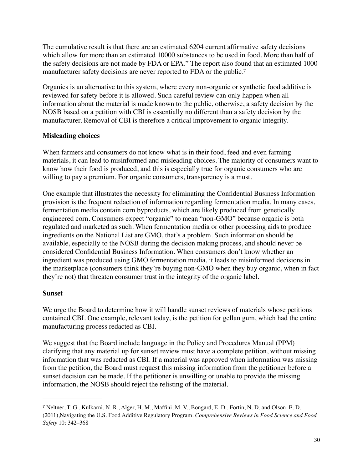The cumulative result is that there are an estimated 6204 current affirmative safety decisions which allow for more than an estimated 10000 substances to be used in food. More than half of the safety decisions are not made by FDA or EPA." The report also found that an estimated 1000 manufacturer safety decisions are never reported to FDA or the public.<sup>7</sup>

Organics is an alternative to this system, where every non-organic or synthetic food additive is reviewed for safety before it is allowed. Such careful review can only happen when all information about the material is made known to the public, otherwise, a safety decision by the NOSB based on a petition with CBI is essentially no different than a safety decision by the manufacturer. Removal of CBI is therefore a critical improvement to organic integrity.

## **Misleading choices**

When farmers and consumers do not know what is in their food, feed and even farming materials, it can lead to misinformed and misleading choices. The majority of consumers want to know how their food is produced, and this is especially true for organic consumers who are willing to pay a premium. For organic consumers, transparency is a must.

One example that illustrates the necessity for eliminating the Confidential Business Information provision is the frequent redaction of information regarding fermentation media. In many cases, fermentation media contain corn byproducts, which are likely produced from genetically engineered corn. Consumers expect "organic" to mean "non-GMO" because organic is both regulated and marketed as such. When fermentation media or other processing aids to produce ingredients on the National List are GMO, that's a problem. Such information should be available, especially to the NOSB during the decision making process, and should never be considered Confidential Business Information. When consumers don't know whether an ingredient was produced using GMO fermentation media, it leads to misinformed decisions in the marketplace (consumers think they're buying non-GMO when they buy organic, when in fact they're not) that threaten consumer trust in the integrity of the organic label.

## **Sunset**

We urge the Board to determine how it will handle sunset reviews of materials whose petitions contained CBI. One example, relevant today, is the petition for gellan gum, which had the entire manufacturing process redacted as CBI.

We suggest that the Board include language in the Policy and Procedures Manual (PPM) clarifying that any material up for sunset review must have a complete petition, without missing information that was redacted as CBI. If a material was approved when information was missing from the petition, the Board must request this missing information from the petitioner before a sunset decision can be made. If the petitioner is unwilling or unable to provide the missing information, the NOSB should reject the relisting of the material.

<sup>&</sup>lt;sup>7</sup> Neltner, T. G., Kulkarni, N. R., Alger, H. M., Maffini, M. V., Bongard, E. D., Fortin, N. D. and Olson, E. D. (2011),Navigating the U.S. Food Additive Regulatory Program. *Comprehensive Reviews in Food Science and Food Safety* 10: 342–368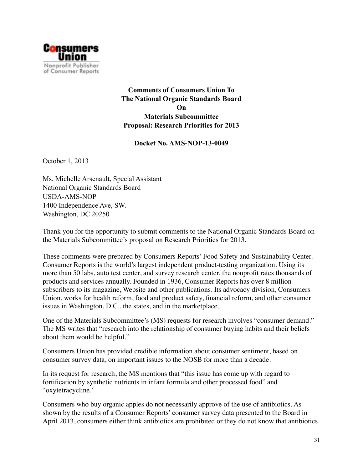

**Comments of Consumers Union To The National Organic Standards Board On Materials Subcommittee Proposal: Research Priorities for 2013** 

**Docket No. AMS-NOP-13-0049** 

October 1, 2013

Ms. Michelle Arsenault, Special Assistant National Organic Standards Board USDA-AMS-NOP 1400 Independence Ave, SW. Washington, DC 20250

Thank you for the opportunity to submit comments to the National Organic Standards Board on the Materials Subcommittee's proposal on Research Priorities for 2013.

These comments were prepared by Consumers Reports' Food Safety and Sustainability Center. Consumer Reports is the world's largest independent product-testing organization. Using its more than 50 labs, auto test center, and survey research center, the nonprofit rates thousands of products and services annually. Founded in 1936, Consumer Reports has over 8 million subscribers to its magazine, Website and other publications. Its advocacy division, Consumers Union, works for health reform, food and product safety, financial reform, and other consumer issues in Washington, D.C., the states, and in the marketplace.

One of the Materials Subcommittee's (MS) requests for research involves "consumer demand." The MS writes that "research into the relationship of consumer buying habits and their beliefs about them would be helpful."

Consumers Union has provided credible information about consumer sentiment, based on consumer survey data, on important issues to the NOSB for more than a decade.

In its request for research, the MS mentions that "this issue has come up with regard to fortification by synthetic nutrients in infant formula and other processed food" and "oxytetracycline."

Consumers who buy organic apples do not necessarily approve of the use of antibiotics. As shown by the results of a Consumer Reports' consumer survey data presented to the Board in April 2013, consumers either think antibiotics are prohibited or they do not know that antibiotics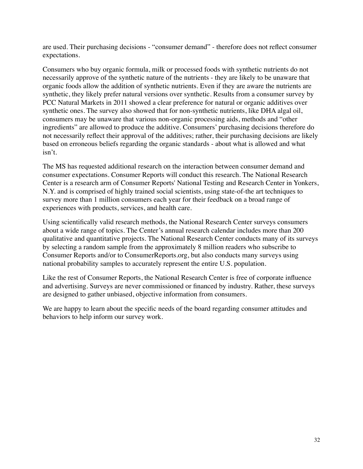are used. Their purchasing decisions - "consumer demand" - therefore does not reflect consumer expectations.

Consumers who buy organic formula, milk or processed foods with synthetic nutrients do not necessarily approve of the synthetic nature of the nutrients - they are likely to be unaware that organic foods allow the addition of synthetic nutrients. Even if they are aware the nutrients are synthetic, they likely prefer natural versions over synthetic. Results from a consumer survey by PCC Natural Markets in 2011 showed a clear preference for natural or organic additives over synthetic ones. The survey also showed that for non-synthetic nutrients, like DHA algal oil, consumers may be unaware that various non-organic processing aids, methods and "other ingredients" are allowed to produce the additive. Consumers' purchasing decisions therefore do not necessarily reflect their approval of the additives; rather, their purchasing decisions are likely based on erroneous beliefs regarding the organic standards - about what is allowed and what isn't.

The MS has requested additional research on the interaction between consumer demand and consumer expectations. Consumer Reports will conduct this research. The National Research Center is a research arm of Consumer Reports' National Testing and Research Center in Yonkers, N.Y. and is comprised of highly trained social scientists, using state-of-the art techniques to survey more than 1 million consumers each year for their feedback on a broad range of experiences with products, services, and health care.

Using scientifically valid research methods, the National Research Center surveys consumers about a wide range of topics. The Center's annual research calendar includes more than 200 qualitative and quantitative projects. The National Research Center conducts many of its surveys by selecting a random sample from the approximately 8 million readers who subscribe to Consumer Reports and/or to ConsumerReports.org, but also conducts many surveys using national probability samples to accurately represent the entire U.S. population.

Like the rest of Consumer Reports, the National Research Center is free of corporate influence and advertising. Surveys are never commissioned or financed by industry. Rather, these surveys are designed to gather unbiased, objective information from consumers.

We are happy to learn about the specific needs of the board regarding consumer attitudes and behaviors to help inform our survey work.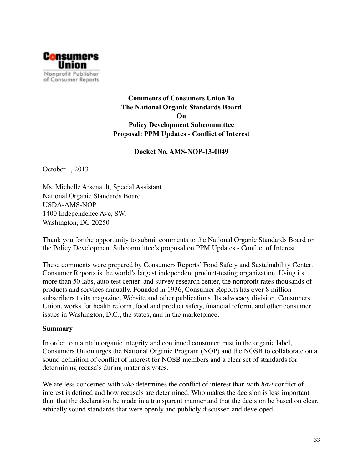

**Comments of Consumers Union To The National Organic Standards Board On Policy Development Subcommittee Proposal: PPM Updates - Conflict of Interest** 

**Docket No. AMS-NOP-13-0049** 

October 1, 2013

Ms. Michelle Arsenault, Special Assistant National Organic Standards Board USDA-AMS-NOP 1400 Independence Ave, SW. Washington, DC 20250

Thank you for the opportunity to submit comments to the National Organic Standards Board on the Policy Development Subcommittee's proposal on PPM Updates - Conflict of Interest.

These comments were prepared by Consumers Reports' Food Safety and Sustainability Center. Consumer Reports is the world's largest independent product-testing organization. Using its more than 50 labs, auto test center, and survey research center, the nonprofit rates thousands of products and services annually. Founded in 1936, Consumer Reports has over 8 million subscribers to its magazine, Website and other publications. Its advocacy division, Consumers Union, works for health reform, food and product safety, financial reform, and other consumer issues in Washington, D.C., the states, and in the marketplace.

#### **Summary**

In order to maintain organic integrity and continued consumer trust in the organic label, Consumers Union urges the National Organic Program (NOP) and the NOSB to collaborate on a sound definition of conflict of interest for NOSB members and a clear set of standards for determining recusals during materials votes.

We are less concerned with *who* determines the conflict of interest than with *how* conflict of interest is defined and how recusals are determined. Who makes the decision is less important than that the declaration be made in a transparent manner and that the decision be based on clear, ethically sound standards that were openly and publicly discussed and developed.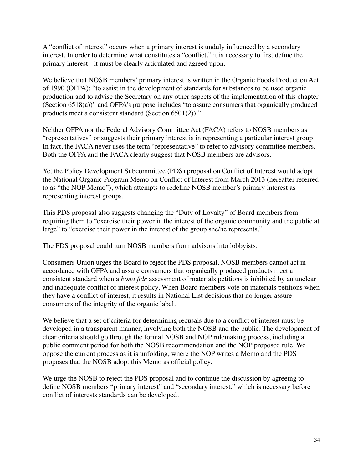A "conflict of interest" occurs when a primary interest is unduly influenced by a secondary interest. In order to determine what constitutes a "conflict," it is necessary to first define the primary interest - it must be clearly articulated and agreed upon.

We believe that NOSB members' primary interest is written in the Organic Foods Production Act of 1990 (OFPA): "to assist in the development of standards for substances to be used organic production and to advise the Secretary on any other aspects of the implementation of this chapter (Section 6518(a))" and OFPA's purpose includes "to assure consumers that organically produced products meet a consistent standard (Section 6501(2))."

Neither OFPA nor the Federal Advisory Committee Act (FACA) refers to NOSB members as "representatives" or suggests their primary interest is in representing a particular interest group. In fact, the FACA never uses the term "representative" to refer to advisory committee members. Both the OFPA and the FACA clearly suggest that NOSB members are advisors.

Yet the Policy Development Subcommittee (PDS) proposal on Conflict of Interest would adopt the National Organic Program Memo on Conflict of Interest from March 2013 (hereafter referred to as "the NOP Memo"), which attempts to redefine NOSB member's primary interest as representing interest groups.

This PDS proposal also suggests changing the "Duty of Loyalty" of Board members from requiring them to "exercise their power in the interest of the organic community and the public at large" to "exercise their power in the interest of the group she/he represents."

The PDS proposal could turn NOSB members from advisors into lobbyists.

Consumers Union urges the Board to reject the PDS proposal. NOSB members cannot act in accordance with OFPA and assure consumers that organically produced products meet a consistent standard when a *bona fide* assessment of materials petitions is inhibited by an unclear and inadequate conflict of interest policy. When Board members vote on materials petitions when they have a conflict of interest, it results in National List decisions that no longer assure consumers of the integrity of the organic label.

We believe that a set of criteria for determining recusals due to a conflict of interest must be developed in a transparent manner, involving both the NOSB and the public. The development of clear criteria should go through the formal NOSB and NOP rulemaking process, including a public comment period for both the NOSB recommendation and the NOP proposed rule. We oppose the current process as it is unfolding, where the NOP writes a Memo and the PDS proposes that the NOSB adopt this Memo as official policy.

We urge the NOSB to reject the PDS proposal and to continue the discussion by agreeing to define NOSB members "primary interest" and "secondary interest," which is necessary before conflict of interests standards can be developed.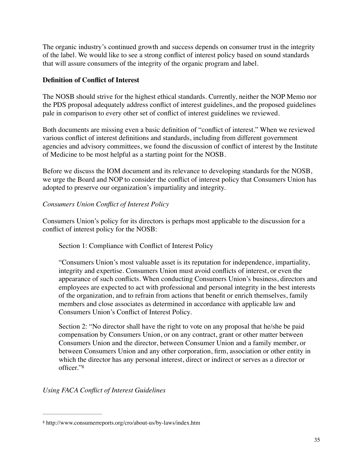The organic industry's continued growth and success depends on consumer trust in the integrity of the label. We would like to see a strong conflict of interest policy based on sound standards that will assure consumers of the integrity of the organic program and label.

## **Definition of Conflict of Interest**

The NOSB should strive for the highest ethical standards. Currently, neither the NOP Memo nor the PDS proposal adequately address conflict of interest guidelines, and the proposed guidelines pale in comparison to every other set of conflict of interest guidelines we reviewed.

Both documents are missing even a basic definition of "conflict of interest." When we reviewed various conflict of interest definitions and standards, including from different government agencies and advisory committees, we found the discussion of conflict of interest by the Institute of Medicine to be most helpful as a starting point for the NOSB.

Before we discuss the IOM document and its relevance to developing standards for the NOSB, we urge the Board and NOP to consider the conflict of interest policy that Consumers Union has adopted to preserve our organization's impartiality and integrity.

# *Consumers Union Conflict of Interest Policy*

Consumers Union's policy for its directors is perhaps most applicable to the discussion for a conflict of interest policy for the NOSB:

# Section 1: Compliance with Conflict of Interest Policy

"Consumers Union's most valuable asset is its reputation for independence, impartiality, integrity and expertise. Consumers Union must avoid conflicts of interest, or even the appearance of such conflicts. When conducting Consumers Union's business, directors and employees are expected to act with professional and personal integrity in the best interests of the organization, and to refrain from actions that benefit or enrich themselves, family members and close associates as determined in accordance with applicable law and Consumers Union's Conflict of Interest Policy.

Section 2: "No director shall have the right to vote on any proposal that he/she be paid compensation by Consumers Union, or on any contract, grant or other matter between Consumers Union and the director, between Consumer Union and a family member, or between Consumers Union and any other corporation, firm, association or other entity in which the director has any personal interest, direct or indirect or serves as a director or officer."8

# *Using FACA Conflict of Interest Guidelines*

<sup>8</sup> http://www.consumerreports.org/cro/about-us/by-laws/index.htm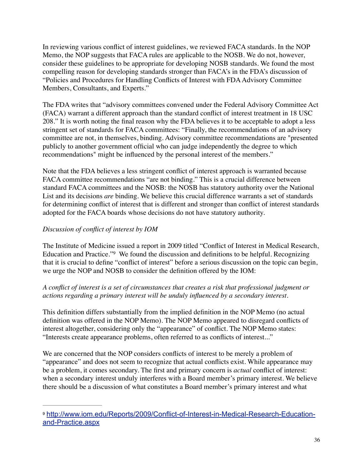In reviewing various conflict of interest guidelines, we reviewed FACA standards. In the NOP Memo, the NOP suggests that FACA rules are applicable to the NOSB. We do not, however, consider these guidelines to be appropriate for developing NOSB standards. We found the most compelling reason for developing standards stronger than FACA's in the FDA's discussion of "Policies and Procedures for Handling Conflicts of Interest with FDA Advisory Committee Members, Consultants, and Experts."

The FDA writes that "advisory committees convened under the Federal Advisory Committee Act (FACA) warrant a different approach than the standard conflict of interest treatment in 18 USC 208." It is worth noting the final reason why the FDA believes it to be acceptable to adopt a less stringent set of standards for FACA committees: "Finally, the recommendations of an advisory committee are not, in themselves, binding. Advisory committee recommendations are "presented publicly to another government official who can judge independently the degree to which recommendations" might be influenced by the personal interest of the members."

Note that the FDA believes a less stringent conflict of interest approach is warranted because FACA committee recommendations "are not binding." This is a crucial difference between standard FACA committees and the NOSB: the NOSB has statutory authority over the National List and its decisions *are* binding. We believe this crucial difference warrants a set of standards for determining conflict of interest that is different and stronger than conflict of interest standards adopted for the FACA boards whose decisions do not have statutory authority.

# *Discussion of conflict of interest by IOM*

The Institute of Medicine issued a report in 2009 titled "Conflict of Interest in Medical Research, Education and Practice."<sup>9</sup> We found the discussion and definitions to be helpful. Recognizing that it is crucial to define "conflict of interest" before a serious discussion on the topic can begin, we urge the NOP and NOSB to consider the definition offered by the IOM:

## *A conflict of interest is a set of circumstances that creates a risk that professional judgment or actions regarding a primary interest will be unduly influenced by a secondary interest.*

This definition differs substantially from the implied definition in the NOP Memo (no actual definition was offered in the NOP Memo). The NOP Memo appeared to disregard conflicts of interest altogether, considering only the "appearance" of conflict. The NOP Memo states: "Interests create appearance problems, often referred to as conflicts of interest..."

We are concerned that the NOP considers conflicts of interest to be merely a problem of "appearance" and does not seem to recognize that actual conflicts exist. While appearance may be a problem, it comes secondary. The first and primary concern is *actual* conflict of interest: when a secondary interest unduly interferes with a Board member's primary interest. We believe there should be a discussion of what constitutes a Board member's primary interest and what

http://www.iom.edu/Reports/2009/Conflict-of-Interest-in-Medical-Research-Education- <sup>9</sup> and-Practice.aspx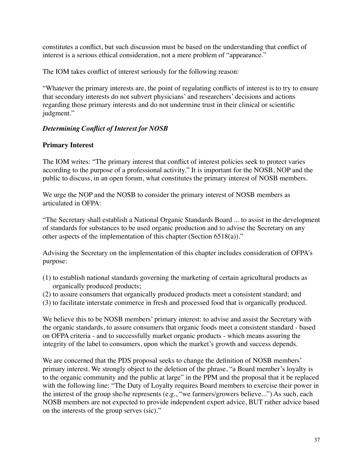constitutes a conflict, but such discussion must be based on the understanding that conflict of interest is a serious ethical consideration, not a mere problem of "appearance."

The IOM takes conflict of interest seriously for the following reason:

"Whatever the primary interests are, the point of regulating conflicts of interest is to try to ensure that secondary interests do not subvert physicians' and researchers' decisions and actions regarding those primary interests and do not undermine trust in their clinical or scientific judgment."

## *Determining Conflict of Interest for NOSB*

#### **Primary Interest**

The IOM writes: "The primary interest that conflict of interest policies seek to protect varies according to the purpose of a professional activity." It is important for the NOSB, NOP and the public to discuss, in an open forum, what constitutes the primary interest of NOSB members.

We urge the NOP and the NOSB to consider the primary interest of NOSB members as articulated in OFPA:

"The Secretary shall establish a National Organic Standards Board ... to assist in the development of standards for substances to be used organic production and to advise the Secretary on any other aspects of the implementation of this chapter (Section 6518(a))."

Advising the Secretary on the implementation of this chapter includes consideration of OFPA's purpose:

- (1) to establish national standards governing the marketing of certain agricultural products as organically produced products;
- (2) to assure consumers that organically produced products meet a consistent standard; and
- (3) to facilitate interstate commerce in fresh and processed food that is organically produced.

We believe this to be NOSB members' primary interest: to advise and assist the Secretary with the organic standards, to assure consumers that organic foods meet a consistent standard - based on OFPA criteria - and to successfully market organic products - which means assuring the integrity of the label to consumers, upon which the market's growth and success depends.

We are concerned that the PDS proposal seeks to change the definition of NOSB members' primary interest. We strongly object to the deletion of the phrase, "a Board member's loyalty is to the organic community and the public at large" in the PPM and the proposal that it be replaced with the following line: "The Duty of Loyalty requires Board members to exercise their power in the interest of the group she/he represents (e.g., "we farmers/growers believe...") As such, each NOSB members are not expected to provide independent expert advice, BUT rather advice based on the interests of the group serves (sic)."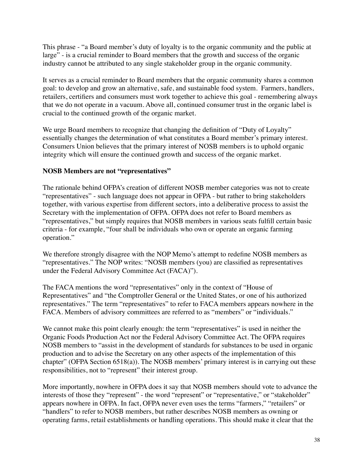This phrase - "a Board member's duty of loyalty is to the organic community and the public at large" - is a crucial reminder to Board members that the growth and success of the organic industry cannot be attributed to any single stakeholder group in the organic community.

It serves as a crucial reminder to Board members that the organic community shares a common goal: to develop and grow an alternative, safe, and sustainable food system. Farmers, handlers, retailers, certifiers and consumers must work together to achieve this goal - remembering always that we do not operate in a vacuum. Above all, continued consumer trust in the organic label is crucial to the continued growth of the organic market.

We urge Board members to recognize that changing the definition of "Duty of Loyalty" essentially changes the determination of what constitutes a Board member's primary interest. Consumers Union believes that the primary interest of NOSB members is to uphold organic integrity which will ensure the continued growth and success of the organic market.

## **NOSB Members are not "representatives"**

The rationale behind OFPA's creation of different NOSB member categories was not to create "representatives" - such language does not appear in OFPA - but rather to bring stakeholders together, with various expertise from different sectors, into a deliberative process to assist the Secretary with the implementation of OFPA. OFPA does not refer to Board members as "representatives," but simply requires that NOSB members in various seats fulfill certain basic criteria - for example, "four shall be individuals who own or operate an organic farming operation."

We therefore strongly disagree with the NOP Memo's attempt to redefine NOSB members as "representatives." The NOP writes: "NOSB members (you) are classified as representatives under the Federal Advisory Committee Act (FACA)").

The FACA mentions the word "representatives" only in the context of "House of Representatives" and "the Comptroller General or the United States, or one of his authorized representatives." The term "representatives" to refer to FACA members appears nowhere in the FACA. Members of advisory committees are referred to as "members" or "individuals."

We cannot make this point clearly enough: the term "representatives" is used in neither the Organic Foods Production Act nor the Federal Advisory Committee Act. The OFPA requires NOSB members to "assist in the development of standards for substances to be used in organic production and to advise the Secretary on any other aspects of the implementation of this chapter" (OFPA Section 6518(a)). The NOSB members' primary interest is in carrying out these responsibilities, not to "represent" their interest group.

More importantly, nowhere in OFPA does it say that NOSB members should vote to advance the interests of those they "represent" - the word "represent" or "representative," or "stakeholder" appears nowhere in OFPA. In fact, OFPA never even uses the terms "farmers," "retailers" or "handlers" to refer to NOSB members, but rather describes NOSB members as owning or operating farms, retail establishments or handling operations. This should make it clear that the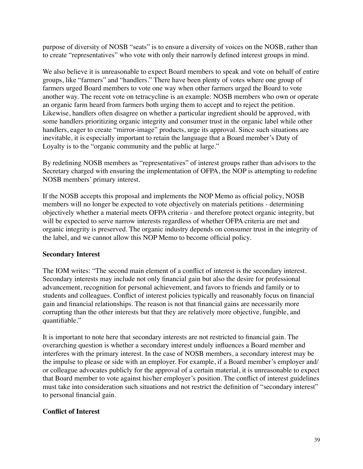purpose of diversity of NOSB "seats" is to ensure a diversity of voices on the NOSB, rather than to create "representatives" who vote with only their narrowly defined interest groups in mind.

We also believe it is unreasonable to expect Board members to speak and vote on behalf of entire groups, like "farmers" and "handlers." There have been plenty of votes where one group of farmers urged Board members to vote one way when other farmers urged the Board to vote another way. The recent vote on tetracycline is an example: NOSB members who own or operate an organic farm heard from farmers both urging them to accept and to reject the petition. Likewise, handlers often disagree on whether a particular ingredient should be approved, with some handlers prioritizing organic integrity and consumer trust in the organic label while other handlers, eager to create "mirror-image" products, urge its approval. Since such situations are inevitable, it is especially important to retain the language that a Board member's Duty of Loyalty is to the "organic community and the public at large."

By redefining NOSB members as "representatives" of interest groups rather than advisors to the Secretary charged with ensuring the implementation of OFPA, the NOP is attempting to redefine NOSB members' primary interest.

If the NOSB accepts this proposal and implements the NOP Memo as official policy, NOSB members will no longer be expected to vote objectively on materials petitions - determining objectively whether a material meets OFPA criteria - and therefore protect organic integrity, but will be expected to serve narrow interests regardless of whether OFPA criteria are met and organic integrity is preserved. The organic industry depends on consumer trust in the integrity of the label, and we cannot allow this NOP Memo to become official policy.

## **Secondary Interest**

The IOM writes: "The second main element of a conflict of interest is the secondary interest. Secondary interests may include not only financial gain but also the desire for professional advancement, recognition for personal achievement, and favors to friends and family or to students and colleagues. Conflict of interest policies typically and reasonably focus on financial gain and financial relationships. The reason is not that financial gains are necessarily more corrupting than the other interests but that they are relatively more objective, fungible, and quantifiable."

It is important to note here that secondary interests are not restricted to financial gain. The overarching question is whether a secondary interest unduly influences a Board member and interferes with the primary interest. In the case of NOSB members, a secondary interest may be the impulse to please or side with an employer. For example, if a Board member's employer and/ or colleague advocates publicly for the approval of a certain material, it is unreasonable to expect that Board member to vote against his/her employer's position. The conflict of interest guidelines must take into consideration such situations and not restrict the definition of "secondary interest" to personal financial gain.

#### **Conflict of Interest**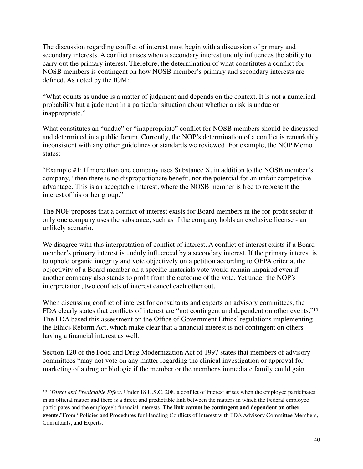The discussion regarding conflict of interest must begin with a discussion of primary and secondary interests. A conflict arises when a secondary interest unduly influences the ability to carry out the primary interest. Therefore, the determination of what constitutes a conflict for NOSB members is contingent on how NOSB member's primary and secondary interests are defined. As noted by the IOM:

"What counts as undue is a matter of judgment and depends on the context. It is not a numerical probability but a judgment in a particular situation about whether a risk is undue or inappropriate."

What constitutes an "undue" or "inappropriate" conflict for NOSB members should be discussed and determined in a public forum. Currently, the NOP's determination of a conflict is remarkably inconsistent with any other guidelines or standards we reviewed. For example, the NOP Memo states:

"Example  $#1$ : If more than one company uses Substance  $X$ , in addition to the NOSB member's company, "then there is no disproportionate benefit, nor the potential for an unfair competitive advantage. This is an acceptable interest, where the NOSB member is free to represent the interest of his or her group."

The NOP proposes that a conflict of interest exists for Board members in the for-profit sector if only one company uses the substance, such as if the company holds an exclusive license - an unlikely scenario.

We disagree with this interpretation of conflict of interest. A conflict of interest exists if a Board member's primary interest is unduly influenced by a secondary interest. If the primary interest is to uphold organic integrity and vote objectively on a petition according to OFPA criteria, the objectivity of a Board member on a specific materials vote would remain impaired even if another company also stands to profit from the outcome of the vote. Yet under the NOP's interpretation, two conflicts of interest cancel each other out.

When discussing conflict of interest for consultants and experts on advisory committees, the FDA clearly states that conflicts of interest are "not contingent and dependent on other events."<sup>10</sup> The FDA based this assessment on the Office of Government Ethics' regulations implementing the Ethics Reform Act, which make clear that a financial interest is not contingent on others having a financial interest as well.

Section 120 of the Food and Drug Modernization Act of 1997 states that members of advisory committees "may not vote on any matter regarding the clinical investigation or approval for marketing of a drug or biologic if the member or the member's immediate family could gain

<sup>&</sup>lt;sup>10</sup> "Direct and Predictable Effect, Under 18 U.S.C. 208, a conflict of interest arises when the employee participates in an official matter and there is a direct and predictable link between the matters in which the Federal employee participates and the employee's financial interests. **The link cannot be contingent and dependent on other events.**"From "Policies and Procedures for Handling Conflicts of Interest with FDA Advisory Committee Members, Consultants, and Experts."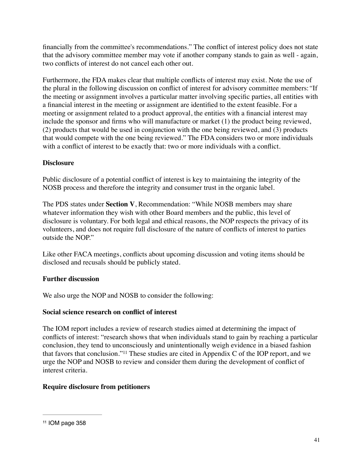financially from the committee's recommendations." The conflict of interest policy does not state that the advisory committee member may vote if another company stands to gain as well - again, two conflicts of interest do not cancel each other out.

Furthermore, the FDA makes clear that multiple conflicts of interest may exist. Note the use of the plural in the following discussion on conflict of interest for advisory committee members:*"*If the meeting or assignment involves a particular matter involving specific parties, all entities with a financial interest in the meeting or assignment are identified to the extent feasible. For a meeting or assignment related to a product approval, the entities with a financial interest may include the sponsor and firms who will manufacture or market (1) the product being reviewed, (2) products that would be used in conjunction with the one being reviewed, and (3) products that would compete with the one being reviewed." The FDA considers two or more individuals with a conflict of interest to be exactly that: two or more individuals with a conflict.

## **Disclosure**

Public disclosure of a potential conflict of interest is key to maintaining the integrity of the NOSB process and therefore the integrity and consumer trust in the organic label.

The PDS states under **Section V**, Recommendation: "While NOSB members may share whatever information they wish with other Board members and the public, this level of disclosure is voluntary. For both legal and ethical reasons, the NOP respects the privacy of its volunteers, and does not require full disclosure of the nature of conflicts of interest to parties outside the NOP."

Like other FACA meetings, conflicts about upcoming discussion and voting items should be disclosed and recusals should be publicly stated.

## **Further discussion**

We also urge the NOP and NOSB to consider the following:

## **Social science research on conflict of interest**

The IOM report includes a review of research studies aimed at determining the impact of conflicts of interest: "research shows that when individuals stand to gain by reaching a particular conclusion, they tend to unconsciously and unintentionally weigh evidence in a biased fashion that favors that conclusion."<sup>11</sup> These studies are cited in Appendix C of the IOP report, and we urge the NOP and NOSB to review and consider them during the development of conflict of interest criteria.

# **Require disclosure from petitioners**

<sup>11</sup> IOM page 358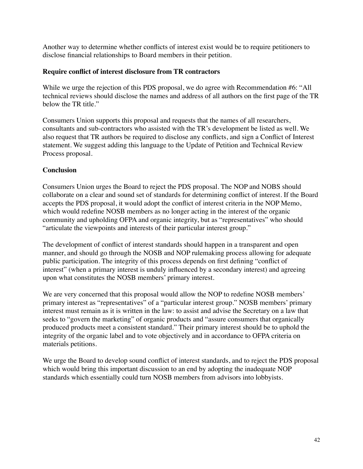Another way to determine whether conflicts of interest exist would be to require petitioners to disclose financial relationships to Board members in their petition.

#### **Require conflict of interest disclosure from TR contractors**

While we urge the rejection of this PDS proposal, we do agree with Recommendation #6: "All technical reviews should disclose the names and address of all authors on the first page of the TR below the TR title."

Consumers Union supports this proposal and requests that the names of all researchers, consultants and sub-contractors who assisted with the TR's development be listed as well. We also request that TR authors be required to disclose any conflicts, and sign a Conflict of Interest statement. We suggest adding this language to the Update of Petition and Technical Review Process proposal.

## **Conclusion**

Consumers Union urges the Board to reject the PDS proposal. The NOP and NOBS should collaborate on a clear and sound set of standards for determining conflict of interest. If the Board accepts the PDS proposal, it would adopt the conflict of interest criteria in the NOP Memo, which would redefine NOSB members as no longer acting in the interest of the organic community and upholding OFPA and organic integrity, but as "representatives" who should "articulate the viewpoints and interests of their particular interest group."

The development of conflict of interest standards should happen in a transparent and open manner, and should go through the NOSB and NOP rulemaking process allowing for adequate public participation. The integrity of this process depends on first defining "conflict of interest" (when a primary interest is unduly influenced by a secondary interest) and agreeing upon what constitutes the NOSB members' primary interest.

We are very concerned that this proposal would allow the NOP to redefine NOSB members' primary interest as "representatives" of a "particular interest group." NOSB members' primary interest must remain as it is written in the law: to assist and advise the Secretary on a law that seeks to "govern the marketing" of organic products and "assure consumers that organically produced products meet a consistent standard." Their primary interest should be to uphold the integrity of the organic label and to vote objectively and in accordance to OFPA criteria on materials petitions.

We urge the Board to develop sound conflict of interest standards, and to reject the PDS proposal which would bring this important discussion to an end by adopting the inadequate NOP standards which essentially could turn NOSB members from advisors into lobbyists.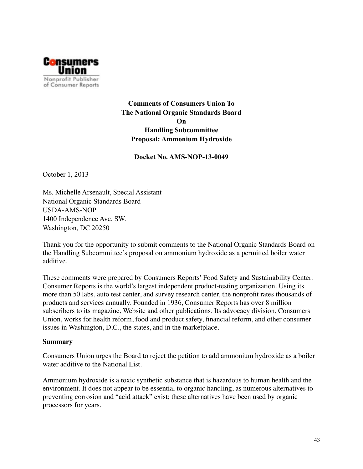

**Comments of Consumers Union To The National Organic Standards Board On Handling Subcommittee Proposal: Ammonium Hydroxide** 

#### **Docket No. AMS-NOP-13-0049**

October 1, 2013

Ms. Michelle Arsenault, Special Assistant National Organic Standards Board USDA-AMS-NOP 1400 Independence Ave, SW. Washington, DC 20250

Thank you for the opportunity to submit comments to the National Organic Standards Board on the Handling Subcommittee's proposal on ammonium hydroxide as a permitted boiler water additive.

These comments were prepared by Consumers Reports' Food Safety and Sustainability Center. Consumer Reports is the world's largest independent product-testing organization. Using its more than 50 labs, auto test center, and survey research center, the nonprofit rates thousands of products and services annually. Founded in 1936, Consumer Reports has over 8 million subscribers to its magazine, Website and other publications. Its advocacy division, Consumers Union, works for health reform, food and product safety, financial reform, and other consumer issues in Washington, D.C., the states, and in the marketplace.

#### **Summary**

Consumers Union urges the Board to reject the petition to add ammonium hydroxide as a boiler water additive to the National List.

Ammonium hydroxide is a toxic synthetic substance that is hazardous to human health and the environment. It does not appear to be essential to organic handling, as numerous alternatives to preventing corrosion and "acid attack" exist; these alternatives have been used by organic processors for years.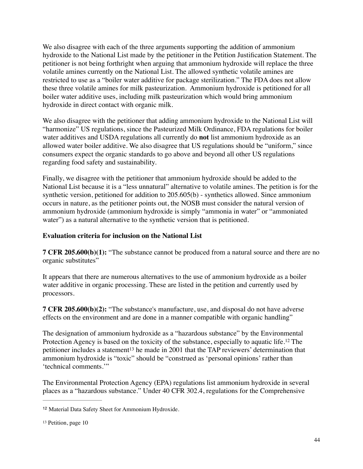We also disagree with each of the three arguments supporting the addition of ammonium hydroxide to the National List made by the petitioner in the Petition Justification Statement. The petitioner is not being forthright when arguing that ammonium hydroxide will replace the three volatile amines currently on the National List. The allowed synthetic volatile amines are restricted to use as a "boiler water additive for package sterilization." The FDA does not allow these three volatile amines for milk pasteurization. Ammonium hydroxide is petitioned for all boiler water additive uses, including milk pasteurization which would bring ammonium hydroxide in direct contact with organic milk.

We also disagree with the petitioner that adding ammonium hydroxide to the National List will "harmonize" US regulations, since the Pasteurized Milk Ordinance, FDA regulations for boiler water additives and USDA regulations all currently do **not** list ammonium hydroxide as an allowed water boiler additive. We also disagree that US regulations should be "uniform," since consumers expect the organic standards to go above and beyond all other US regulations regarding food safety and sustainability.

Finally, we disagree with the petitioner that ammonium hydroxide should be added to the National List because it is a "less unnatural" alternative to volatile amines. The petition is for the synthetic version, petitioned for addition to 205.605(b) - synthetics allowed. Since ammonium occurs in nature, as the petitioner points out, the NOSB must consider the natural version of ammonium hydroxide (ammonium hydroxide is simply "ammonia in water" or "ammoniated water") as a natural alternative to the synthetic version that is petitioned.

## **Evaluation criteria for inclusion on the National List**

**7 CFR 205.600(b)(1):** "The substance cannot be produced from a natural source and there are no organic substitutes"

It appears that there are numerous alternatives to the use of ammonium hydroxide as a boiler water additive in organic processing. These are listed in the petition and currently used by processors.

**7 CFR 205.600(b)(2):** "The substance's manufacture, use, and disposal do not have adverse effects on the environment and are done in a manner compatible with organic handling"

The designation of ammonium hydroxide as a "hazardous substance" by the Environmental Protection Agency is based on the toxicity of the substance, especially to aquatic life.<sup>12</sup> The petitioner includes a statement<sup>13</sup> he made in 2001 that the TAP reviewers' determination that ammonium hydroxide is "toxic" should be "construed as 'personal opinions' rather than 'technical comments.'"

The Environmental Protection Agency (EPA) regulations list ammonium hydroxide in several places as a "hazardous substance." Under 40 CFR 302.4, regulations for the Comprehensive

<sup>&</sup>lt;sup>12</sup> Material Data Safety Sheet for Ammonium Hydroxide.

<sup>13</sup> Petition, page 10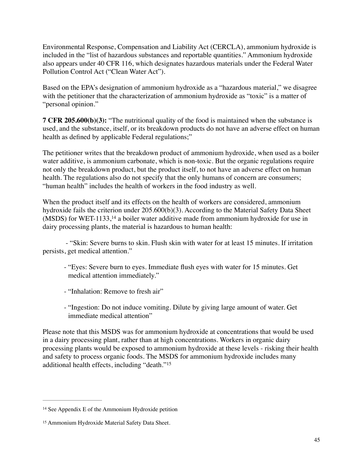Environmental Response, Compensation and Liability Act (CERCLA), ammonium hydroxide is included in the "list of hazardous substances and reportable quantities." Ammonium hydroxide also appears under 40 CFR 116, which designates hazardous materials under the Federal Water Pollution Control Act ("Clean Water Act").

Based on the EPA's designation of ammonium hydroxide as a "hazardous material," we disagree with the petitioner that the characterization of ammonium hydroxide as "toxic" is a matter of "personal opinion."

**7 CFR 205.600(b)(3):** "The nutritional quality of the food is maintained when the substance is used, and the substance, itself, or its breakdown products do not have an adverse effect on human health as defined by applicable Federal regulations;"

The petitioner writes that the breakdown product of ammonium hydroxide, when used as a boiler water additive, is ammonium carbonate, which is non-toxic. But the organic regulations require not only the breakdown product, but the product itself, to not have an adverse effect on human health. The regulations also do not specify that the only humans of concern are consumers; "human health" includes the health of workers in the food industry as well.

When the product itself and its effects on the health of workers are considered, ammonium hydroxide fails the criterion under 205.600(b)(3). According to the Material Safety Data Sheet (MSDS) for WET-1133,<sup>14</sup> a boiler water additive made from ammonium hydroxide for use in dairy processing plants, the material is hazardous to human health:

 - "Skin: Severe burns to skin. Flush skin with water for at least 15 minutes. If irritation persists, get medical attention."

- "Eyes: Severe burn to eyes. Immediate flush eyes with water for 15 minutes. Get medical attention immediately."
- "Inhalation: Remove to fresh air"
- "Ingestion: Do not induce vomiting. Dilute by giving large amount of water. Get immediate medical attention"

Please note that this MSDS was for ammonium hydroxide at concentrations that would be used in a dairy processing plant, rather than at high concentrations. Workers in organic dairy processing plants would be exposed to ammonium hydroxide at these levels - risking their health and safety to process organic foods. The MSDS for ammonium hydroxide includes many additional health effects, including "death."15

<sup>14</sup> See Appendix E of the Ammonium Hydroxide petition

<sup>&</sup>lt;sup>15</sup> Ammonium Hydroxide Material Safety Data Sheet.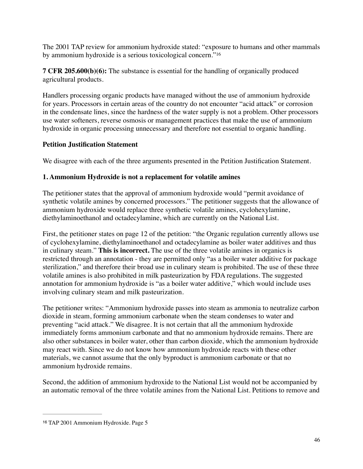The 2001 TAP review for ammonium hydroxide stated: "exposure to humans and other mammals by ammonium hydroxide is a serious toxicological concern."16

**7 CFR 205.600(b)(6):** The substance is essential for the handling of organically produced agricultural products.

Handlers processing organic products have managed without the use of ammonium hydroxide for years. Processors in certain areas of the country do not encounter "acid attack" or corrosion in the condensate lines, since the hardness of the water supply is not a problem. Other processors use water softeners, reverse osmosis or management practices that make the use of ammonium hydroxide in organic processing unnecessary and therefore not essential to organic handling.

## **Petition Justification Statement**

We disagree with each of the three arguments presented in the Petition Justification Statement.

## **1. Ammonium Hydroxide is not a replacement for volatile amines**

The petitioner states that the approval of ammonium hydroxide would "permit avoidance of synthetic volatile amines by concerned processors." The petitioner suggests that the allowance of ammonium hydroxide would replace three synthetic volatile amines, cyclohexylamine, diethylaminoethanol and octadecylamine, which are currently on the National List.

First, the petitioner states on page 12 of the petition: "the Organic regulation currently allows use of cyclohexylamine, diethylaminoethanol and octadecylamine as boiler water additives and thus in culinary steam." **This is incorrect.** The use of the three volatile amines in organics is restricted through an annotation - they are permitted only "as a boiler water additive for package sterilization," and therefore their broad use in culinary steam is prohibited. The use of these three volatile amines is also prohibited in milk pasteurization by FDA regulations. The suggested annotation for ammonium hydroxide is "as a boiler water additive," which would include uses involving culinary steam and milk pasteurization.

The petitioner writes: "Ammonium hydroxide passes into steam as ammonia to neutralize carbon dioxide in steam, forming ammonium carbonate when the steam condenses to water and preventing "acid attack." We disagree. It is not certain that all the ammonium hydroxide immediately forms ammonium carbonate and that no ammonium hydroxide remains. There are also other substances in boiler water, other than carbon dioxide, which the ammonium hydroxide may react with. Since we do not know how ammonium hydroxide reacts with these other materials, we cannot assume that the only byproduct is ammonium carbonate or that no ammonium hydroxide remains.

Second, the addition of ammonium hydroxide to the National List would not be accompanied by an automatic removal of the three volatile amines from the National List. Petitions to remove and

<sup>&</sup>lt;sup>16</sup> TAP 2001 Ammonium Hydroxide. Page 5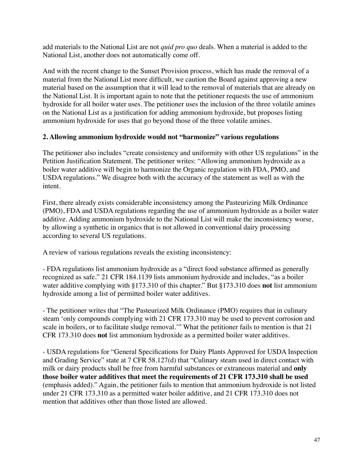add materials to the National List are not *quid pro quo* deals. When a material is added to the National List, another does not automatically come off.

And with the recent change to the Sunset Provision process, which has made the removal of a material from the National List more difficult, we caution the Board against approving a new material based on the assumption that it will lead to the removal of materials that are already on the National List. It is important again to note that the petitioner requests the use of ammonium hydroxide for all boiler water uses. The petitioner uses the inclusion of the three volatile amines on the National List as a justification for adding ammonium hydroxide, but proposes listing ammonium hydroxide for uses that go beyond those of the three volatile amines.

## **2. Allowing ammonium hydroxide would not "harmonize" various regulations**

The petitioner also includes "create consistency and uniformity with other US regulations" in the Petition Justification Statement. The petitioner writes: "Allowing ammonium hydroxide as a boiler water additive will begin to harmonize the Organic regulation with FDA, PMO, and USDA regulations." We disagree both with the accuracy of the statement as well as with the intent.

First, there already exists considerable inconsistency among the Pasteurizing Milk Ordinance (PMO), FDA and USDA regulations regarding the use of ammonium hydroxide as a boiler water additive. Adding ammonium hydroxide to the National List will make the inconsistency worse, by allowing a synthetic in organics that is not allowed in conventional dairy processing according to several US regulations.

A review of various regulations reveals the existing inconsistency:

- FDA regulations list ammonium hydroxide as a "direct food substance affirmed as generally recognized as safe." 21 CFR 184.1139 lists ammonium hydroxide and includes, "as a boiler water additive complying with §173.310 of this chapter." But §173.310 does **not** list ammonium hydroxide among a list of permitted boiler water additives.

- The petitioner writes that "The Pasteurized Milk Ordinance (PMO) requires that in culinary steam 'only compounds complying with 21 CFR 173.310 may be used to prevent corrosion and scale in boilers, or to facilitate sludge removal.'" What the petitioner fails to mention is that 21 CFR 173.310 does **not** list ammonium hydroxide as a permitted boiler water additives.

- USDA regulations for "General Specifications for Dairy Plants Approved for USDA Inspection and Grading Service" state at 7 CFR 58.127(d) that "Culinary steam used in direct contact with milk or dairy products shall be free from harmful substances or extraneous material and **only those boiler water additives that meet the requirements of 21 CFR 173.310 shall be used** (emphasis added)." Again, the petitioner fails to mention that ammonium hydroxide is not listed under 21 CFR 173.310 as a permitted water boiler additive, and 21 CFR 173.310 does not mention that additives other than those listed are allowed.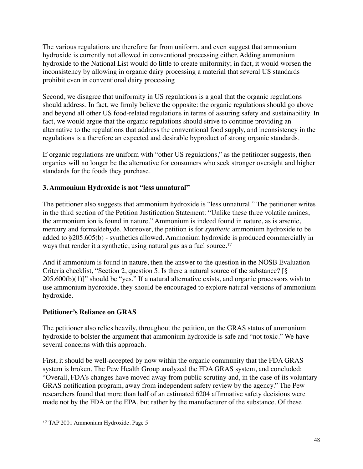The various regulations are therefore far from uniform, and even suggest that ammonium hydroxide is currently not allowed in conventional processing either. Adding ammonium hydroxide to the National List would do little to create uniformity; in fact, it would worsen the inconsistency by allowing in organic dairy processing a material that several US standards prohibit even in conventional dairy processing

Second, we disagree that uniformity in US regulations is a goal that the organic regulations should address. In fact, we firmly believe the opposite: the organic regulations should go above and beyond all other US food-related regulations in terms of assuring safety and sustainability. In fact, we would argue that the organic regulations should strive to continue providing an alternative to the regulations that address the conventional food supply, and inconsistency in the regulations is a therefore an expected and desirable byproduct of strong organic standards.

If organic regulations are uniform with "other US regulations," as the petitioner suggests, then organics will no longer be the alternative for consumers who seek stronger oversight and higher standards for the foods they purchase.

## **3. Ammonium Hydroxide is not "less unnatural"**

The petitioner also suggests that ammonium hydroxide is "less unnatural." The petitioner writes in the third section of the Petition Justification Statement: "Unlike these three volatile amines, the ammonium ion is found in nature." Ammonium is indeed found in nature, as is arsenic, mercury and formaldehyde. Moreover, the petition is for *synthetic* ammonium hydroxide to be added to §205.605(b) - synthetics allowed. Ammonium hydroxide is produced commercially in ways that render it a synthetic, using natural gas as a fuel source.<sup>17</sup>

And if ammonium is found in nature, then the answer to the question in the NOSB Evaluation Criteria checklist, "Section 2, question 5. Is there a natural source of the substance? [§  $205.600(b)(1)$ " should be "yes." If a natural alternative exists, and organic processors wish to use ammonium hydroxide, they should be encouraged to explore natural versions of ammonium hydroxide.

## **Petitioner's Reliance on GRAS**

The petitioner also relies heavily, throughout the petition, on the GRAS status of ammonium hydroxide to bolster the argument that ammonium hydroxide is safe and "not toxic." We have several concerns with this approach.

First, it should be well-accepted by now within the organic community that the FDA GRAS system is broken. The Pew Health Group analyzed the FDA GRAS system, and concluded: "Overall, FDA's changes have moved away from public scrutiny and, in the case of its voluntary GRAS notification program, away from independent safety review by the agency." The Pew researchers found that more than half of an estimated 6204 affirmative safety decisions were made not by the FDA or the EPA, but rather by the manufacturer of the substance. Of these

<sup>&</sup>lt;sup>17</sup> TAP 2001 Ammonium Hydroxide. Page 5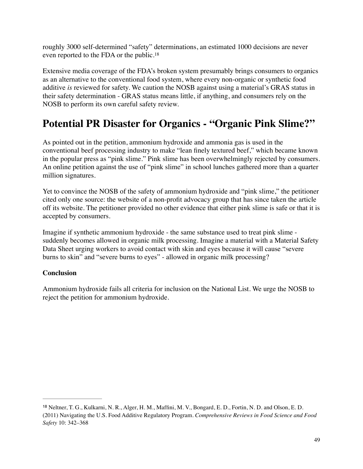roughly 3000 self-determined "safety" determinations, an estimated 1000 decisions are never even reported to the FDA or the public.18

Extensive media coverage of the FDA's broken system presumably brings consumers to organics as an alternative to the conventional food system, where every non-organic or synthetic food additive *is* reviewed for safety. We caution the NOSB against using a material's GRAS status in their safety determination - GRAS status means little, if anything, and consumers rely on the NOSB to perform its own careful safety review.

# **Potential PR Disaster for Organics - "Organic Pink Slime?"**

As pointed out in the petition, ammonium hydroxide and ammonia gas is used in the conventional beef processing industry to make "lean finely textured beef," which became known in the popular press as "pink slime." Pink slime has been overwhelmingly rejected by consumers. An online petition against the use of "pink slime" in school lunches gathered more than a quarter million signatures.

Yet to convince the NOSB of the safety of ammonium hydroxide and "pink slime," the petitioner cited only one source: the website of a non-profit advocacy group that has since taken the article off its website. The petitioner provided no other evidence that either pink slime is safe or that it is accepted by consumers.

Imagine if synthetic ammonium hydroxide - the same substance used to treat pink slime suddenly becomes allowed in organic milk processing. Imagine a material with a Material Safety Data Sheet urging workers to avoid contact with skin and eyes because it will cause "severe burns to skin" and "severe burns to eyes" - allowed in organic milk processing?

## **Conclusion**

Ammonium hydroxide fails all criteria for inclusion on the National List. We urge the NOSB to reject the petition for ammonium hydroxide.

<sup>&</sup>lt;sup>18</sup> Neltner, T. G., Kulkarni, N. R., Alger, H. M., Maffini, M. V., Bongard, E. D., Fortin, N. D. and Olson, E. D. (2011) Navigating the U.S. Food Additive Regulatory Program. *Comprehensive Reviews in Food Science and Food Safety* 10: 342–368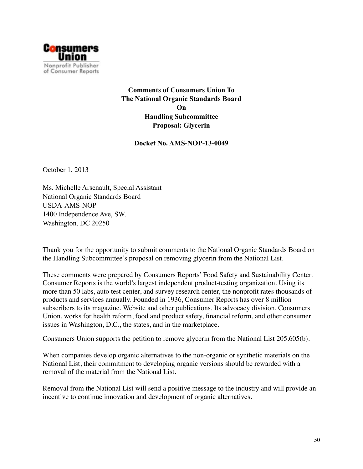

**Comments of Consumers Union To The National Organic Standards Board On Handling Subcommittee Proposal: Glycerin** 

**Docket No. AMS-NOP-13-0049** 

October 1, 2013

Ms. Michelle Arsenault, Special Assistant National Organic Standards Board USDA-AMS-NOP 1400 Independence Ave, SW. Washington, DC 20250

Thank you for the opportunity to submit comments to the National Organic Standards Board on the Handling Subcommittee's proposal on removing glycerin from the National List.

These comments were prepared by Consumers Reports' Food Safety and Sustainability Center. Consumer Reports is the world's largest independent product-testing organization. Using its more than 50 labs, auto test center, and survey research center, the nonprofit rates thousands of products and services annually. Founded in 1936, Consumer Reports has over 8 million subscribers to its magazine, Website and other publications. Its advocacy division, Consumers Union, works for health reform, food and product safety, financial reform, and other consumer issues in Washington, D.C., the states, and in the marketplace.

Consumers Union supports the petition to remove glycerin from the National List 205.605(b).

When companies develop organic alternatives to the non-organic or synthetic materials on the National List, their commitment to developing organic versions should be rewarded with a removal of the material from the National List.

Removal from the National List will send a positive message to the industry and will provide an incentive to continue innovation and development of organic alternatives.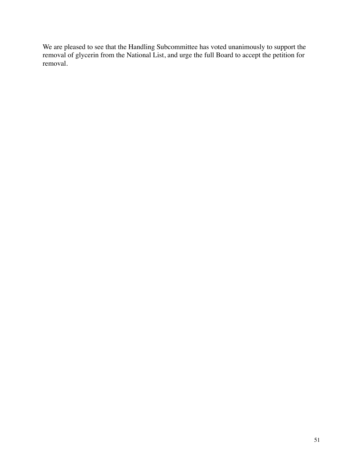We are pleased to see that the Handling Subcommittee has voted unanimously to support the removal of glycerin from the National List, and urge the full Board to accept the petition for removal.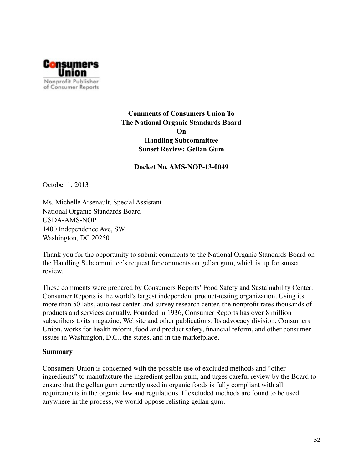

# **Comments of Consumers Union To The National Organic Standards Board On Handling Subcommittee Sunset Review: Gellan Gum**

#### **Docket No. AMS-NOP-13-0049**

October 1, 2013

Ms. Michelle Arsenault, Special Assistant National Organic Standards Board USDA-AMS-NOP 1400 Independence Ave, SW. Washington, DC 20250

Thank you for the opportunity to submit comments to the National Organic Standards Board on the Handling Subcommittee's request for comments on gellan gum, which is up for sunset review.

These comments were prepared by Consumers Reports' Food Safety and Sustainability Center. Consumer Reports is the world's largest independent product-testing organization. Using its more than 50 labs, auto test center, and survey research center, the nonprofit rates thousands of products and services annually. Founded in 1936, Consumer Reports has over 8 million subscribers to its magazine, Website and other publications. Its advocacy division, Consumers Union, works for health reform, food and product safety, financial reform, and other consumer issues in Washington, D.C., the states, and in the marketplace.

#### **Summary**

Consumers Union is concerned with the possible use of excluded methods and "other ingredients" to manufacture the ingredient gellan gum, and urges careful review by the Board to ensure that the gellan gum currently used in organic foods is fully compliant with all requirements in the organic law and regulations. If excluded methods are found to be used anywhere in the process, we would oppose relisting gellan gum.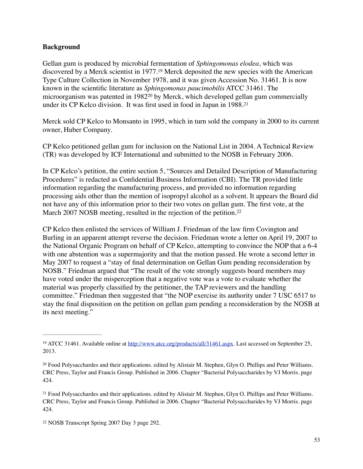#### **Background**

Gellan gum is produced by microbial fermentation of *Sphingomonas elodea*, which was discovered by a Merck scientist in 1977.<sup>19</sup> Merck deposited the new species with the American Type Culture Collection in November 1978, and it was given Accession No. 31461. It is now known in the scientific literature as *Sphingomonas paucimobilis* ATCC 31461. The microorganism was patented in 1982<sup>20</sup> by Merck, which developed gellan gum commercially under its CP Kelco division. It was first used in food in Japan in 1988.21

Merck sold CP Kelco to Monsanto in 1995, which in turn sold the company in 2000 to its current owner, Huber Company.

CP Kelco petitioned gellan gum for inclusion on the National List in 2004. A Technical Review (TR) was developed by ICF International and submitted to the NOSB in February 2006.

In CP Kelco's petition, the entire section 5, "Sources and Detailed Description of Manufacturing Procedures" is redacted as Confidential Business Information (CBI). The TR provided little information regarding the manufacturing process, and provided no information regarding processing aids other than the mention of isopropyl alcohol as a solvent. It appears the Board did not have any of this information prior to their two votes on gellan gum. The first vote, at the March 2007 NOSB meeting, resulted in the rejection of the petition.<sup>22</sup>

CP Kelco then enlisted the services of William J. Friedman of the law firm Covington and Burling in an apparent attempt reverse the decision. Friedman wrote a letter on April 19, 2007 to the National Organic Program on behalf of CP Kelco, attempting to convince the NOP that a 6-4 with one abstention was a supermajority and that the motion passed. He wrote a second letter in May 2007 to request a "stay of final determination on Gellan Gum pending reconsideration by NOSB." Friedman argued that "The result of the vote strongly suggests board members may have voted under the misperception that a negative vote was a vote to evaluate whether the material was properly classified by the petitioner, the TAP reviewers and the handling committee." Friedman then suggested that "the NOP exercise its authority under 7 USC 6517 to stay the final disposition on the petition on gellan gum pending a reconsideration by the NOSB at its next meeting."

<sup>&</sup>lt;sup>19</sup> ATCC 31461. Available online at http://www.atcc.org/products/all/31461.aspx. Last accessed on September 25, 2013.

<sup>&</sup>lt;sup>20</sup> Food Polysacchardes and their applications. edited by Alistair M. Stephen, Glyn O. Phillips and Peter Williams. CRC Press, Taylor and Francis Group. Published in 2006. Chapter "Bacterial Polysaccharides by VJ Morris. page 424.

<sup>&</sup>lt;sup>21</sup> Food Polysacchardes and their applications. edited by Alistair M. Stephen, Glyn O. Phillips and Peter Williams. CRC Press, Taylor and Francis Group. Published in 2006. Chapter "Bacterial Polysaccharides by VJ Morris. page 424.

<sup>&</sup>lt;sup>22</sup> NOSB Transcript Spring 2007 Day 3 page 292.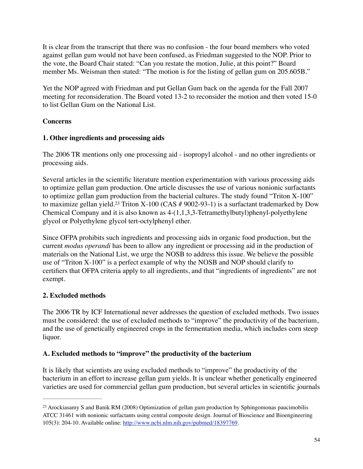It is clear from the transcript that there was no confusion - the four board members who voted against gellan gum would not have been confused, as Friedman suggested to the NOP. Prior to the vote, the Board Chair stated: "Can you restate the motion, Julie, at this point?" Board member Ms. Weisman then stated: "The motion is for the listing of gellan gum on 205.605B."

Yet the NOP agreed with Friedman and put Gellan Gum back on the agenda for the Fall 2007 meeting for reconsideration. The Board voted 13-2 to reconsider the motion and then voted 15-0 to list Gellan Gum on the National List.

# **Concerns**

# **1. Other ingredients and processing aids**

The 2006 TR mentions only one processing aid - isopropyl alcohol - and no other ingredients or processing aids.

Several articles in the scientific literature mention experimentation with various processing aids to optimize gellan gum production. One article discusses the use of various nonionic surfactants to optimize gellan gum production from the bacterial cultures. The study found "Triton X-100" to maximize gellan yield.<sup>23</sup> Triton X-100 (CAS  $# 9002-93-1$ ) is a surfactant trademarked by Dow Chemical Company and it is also known as 4-(1,1,3,3-Tetramethylbutyl)phenyl-polyethylene glycol or Polyethylene glycol tert-octylphenyl ether.

Since OFPA prohibits such ingredients and processing aids in organic food production, but the current *modus operandi* has been to allow any ingredient or processing aid in the production of materials on the National List, we urge the NOSB to address this issue. We believe the possible use of "Triton X-100" is a perfect example of why the NOSB and NOP should clarify to certifiers that OFPA criteria apply to all ingredients, and that "ingredients of ingredients" are not exempt.

# **2. Excluded methods**

The 2006 TR by ICF International never addresses the question of excluded methods. Two issues must be considered: the use of excluded methods to "improve" the productivity of the bacterium, and the use of genetically engineered crops in the fermentation media, which includes corn steep liquor.

# **A. Excluded methods to "improve" the productivity of the bacterium**

It is likely that scientists are using excluded methods to "improve" the productivity of the bacterium in an effort to increase gellan gum yields. It is unclear whether genetically engineered varieties are used for commercial gellan gum production, but several articles in scientific journals

<sup>&</sup>lt;sup>23</sup> Arockiasamy S and Banik RM (2008) Optimization of gellan gum production by Sphingomonas paucimobilis ATCC 31461 with nonionic surfactants using central composite design. Journal of Bioscience and Bioengineering 105(3): 204-10. Available online: http://www.ncbi.nlm.nih.gov/pubmed/18397769.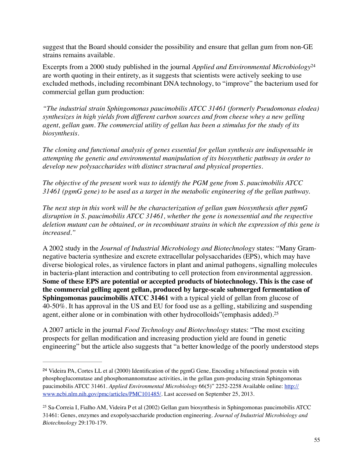suggest that the Board should consider the possibility and ensure that gellan gum from non-GE strains remains available.

Excerpts from a 2000 study published in the journal *Applied and Environmental Microbiology*<sup>24</sup> are worth quoting in their entirety, as it suggests that scientists were actively seeking to use excluded methods, including recombinant DNA technology, to "improve" the bacterium used for commercial gellan gum production:

*"The industrial strain Sphingomonas paucimobilis ATCC 31461 (formerly Pseudomonas elodea) synthesizes in high yields from different carbon sources and from cheese whey a new gelling agent, gellan gum. The commercial utility of gellan has been a stimulus for the study of its biosynthesis.*

*The cloning and functional analysis of genes essential for gellan synthesis are indispensable in attempting the genetic and environmental manipulation of its biosynthetic pathway in order to develop new polysaccharides with distinct structural and physical properties.* 

*The objective of the present work was to identify the PGM gene from S. paucimobilis ATCC 31461 (pgmG gene) to be used as a target in the metabolic engineering of the gellan pathway.*

*The next step in this work will be the characterization of gellan gum biosynthesis after pgmG disruption in S. paucimobilis ATCC 31461, whether the gene is nonessential and the respective deletion mutant can be obtained, or in recombinant strains in which the expression of this gene is increased."*

A 2002 study in the *Journal of Industrial Microbiology and Biotechnology* states: "Many Gramnegative bacteria synthesize and excrete extracellular polysaccharides (EPS), which may have diverse biological roles, as virulence factors in plant and animal pathogens, signalling molecules in bacteria-plant interaction and contributing to cell protection from environmental aggression. **Some of these EPS are potential or accepted products of biotechnology. This is the case of the commercial gelling agent gellan, produced by large-scale submerged fermentation of Sphingomonas paucimobilis ATCC 31461** with a typical yield of gellan from glucose of 40-50%. It has approval in the US and EU for food use as a gelling, stabilizing and suspending agent, either alone or in combination with other hydrocolloids"(emphasis added).25

A 2007 article in the journal *Food Technology and Biotechnology* states: "The most exciting prospects for gellan modification and increasing production yield are found in genetic engineering" but the article also suggests that "a better knowledge of the poorly understood steps

<sup>&</sup>lt;sup>24</sup> Videira PA, Cortes LL et al (2000) Identification of the pgmG Gene, Encoding a bifunctional protein with phosphoglucomutase and phosphomannomutase activities, in the gellan gum-producing strain Sphingomonas paucimobilis ATCC 31461. *Applied Environmental Microbiology* 66(5)" 2252-2258 Available online: http:// www.ncbi.nlm.nih.gov/pmc/articles/PMC101485/. Last accessed on September 25, 2013.

Sa-Correia I, Fialho AM, Videira P et al (2002) Gellan gum biosynthesis in Sphingomonas paucimobilis ATCC 25 31461: Genes, enzymes and exopolysaccharide production engineering. *Journal of Industrial Microbiology and Biotechnology* 29:170-179.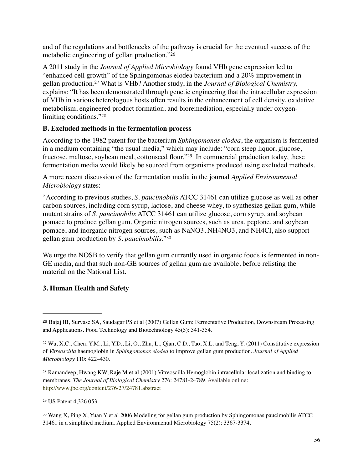and of the regulations and bottlenecks of the pathway is crucial for the eventual success of the metabolic engineering of gellan production."26

A 2011 study in the *Journal of Applied Microbiology* found VHb gene expression led to "enhanced cell growth" of the Sphingomonas elodea bacterium and a 20% improvement in gellan production.<sup>27</sup> What is VHb? Another study, in the *Journal of Biological Chemistry*, explains: "It has been demonstrated through genetic engineering that the intracellular expression of VHb in various heterologous hosts often results in the enhancement of cell density, oxidative metabolism, engineered product formation, and bioremediation, especially under oxygenlimiting conditions."28

## **B. Excluded methods in the fermentation process**

According to the 1982 patent for the bacterium *Sphingomonas elodea*, the organism is fermented in a medium containing "the usual media," which may include: "corn steep liquor, glucose, fructose, maltose, soybean meal, cottonseed flour."<sup>29</sup> In commercial production today, these fermentation media would likely be sourced from organisms produced using excluded methods.

A more recent discussion of the fermentation media in the journal *Applied Environmental Microbiology* states:

"According to previous studies, *S. paucimobilis* ATCC 31461 can utilize glucose as well as other carbon sources, including corn syrup, lactose, and cheese whey, to synthesize gellan gum, while mutant strains of *S. paucimobilis* ATCC 31461 can utilize glucose, corn syrup, and soybean pomace to produce gellan gum. Organic nitrogen sources, such as urea, peptone, and soybean pomace, and inorganic nitrogen sources, such as NaNO3, NH4NO3, and NH4Cl, also support gellan gum production by *S. paucimobilis*."30

We urge the NOSB to verify that gellan gum currently used in organic foods is fermented in non-GE media, and that such non-GE sources of gellan gum are available, before relisting the material on the National List.

## **3. Human Health and Safety**

<sup>29</sup> US Patent 4,326,053

<sup>30</sup> Wang X, Ping X, Yuan Y et al 2006 Modeling for gellan gum production by Sphingomonas paucimobilis ATCC 31461 in a simplified medium. Applied Environmental Microbiology 75(2): 3367-3374.

<sup>&</sup>lt;sup>26</sup> Bajaj IB, Survase SA, Saudagar PS et al (2007) Gellan Gum: Fermentative Production, Downstream Processing and Applications. Food Technology and Biotechnology 45(5): 341-354.

Wu, X.C., Chen, Y.M., Li, Y.D., Li, O., Zhu, L., Qian, C.D., Tao, X.L. and Teng, Y. (2011) Constitutive expression 27 of *Vitreoscilla* haemoglobin in *Sphingomonas elodea* to improve gellan gum production. *Journal of Applied Microbiology* 110: 422–430.

<sup>&</sup>lt;sup>28</sup> Ramandeep, Hwang KW, Raje M et al (2001) Vitreoscilla Hemoglobin intracellular localization and binding to membranes. *The Journal of Biological Chemistry* 276: 24781-24789. Available online: http://www.jbc.org/content/276/27/24781.abstract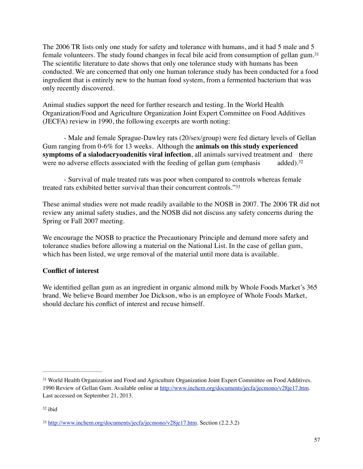The 2006 TR lists only one study for safety and tolerance with humans, and it had 5 male and 5 female volunteers. The study found changes in fecal bile acid from consumption of gellan gum. 31 The scientific literature to date shows that only one tolerance study with humans has been conducted. We are concerned that only one human tolerance study has been conducted for a food ingredient that is entirely new to the human food system, from a fermented bacterium that was only recently discovered.

Animal studies support the need for further research and testing. In the World Health Organization/Food and Agriculture Organization Joint Expert Committee on Food Additives (JECFA) review in 1990, the following excerpts are worth noting:

- Male and female Sprague-Dawley rats (20/sex/group) were fed dietary levels of Gellan Gum ranging from 0-6% for 13 weeks. Although the **animals on this study experienced symptoms of a sialodacryoadenitis viral infection**, all animals survived treatment and there were no adverse effects associated with the feeding of gellan gum (emphasis added).<sup>32</sup>

- Survival of male treated rats was poor when compared to controls whereas female treated rats exhibited better survival than their concurrent controls."33

These animal studies were not made readily available to the NOSB in 2007. The 2006 TR did not review any animal safety studies, and the NOSB did not discuss any safety concerns during the Spring or Fall 2007 meeting.

We encourage the NOSB to practice the Precautionary Principle and demand more safety and tolerance studies before allowing a material on the National List. In the case of gellan gum, which has been listed, we urge removal of the material until more data is available.

## **Conflict of interest**

We identified gellan gum as an ingredient in organic almond milk by Whole Foods Market's 365 brand. We believe Board member Joe Dickson, who is an employee of Whole Foods Market, should declare his conflict of interest and recuse himself.

<sup>&</sup>lt;sup>31</sup> World Health Organization and Food and Agriculture Organization Joint Expert Committee on Food Additives. 1990 Review of Gellan Gum. Available online at http://www.inchem.org/documents/jecfa/jecmono/v28je17.htm. Last accessed on September 21, 2013.

<sup>32</sup> ibid

<sup>33</sup> http://www.inchem.org/documents/jecfa/jecmono/v28je17.htm. Section (2.2.3.2)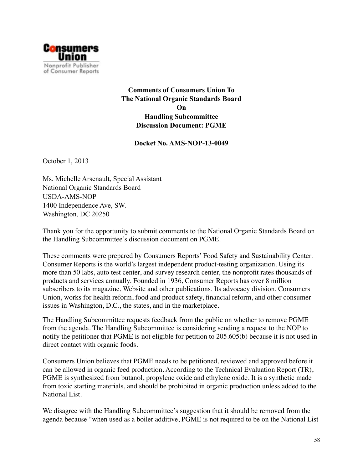

**Comments of Consumers Union To The National Organic Standards Board On Handling Subcommittee Discussion Document: PGME** 

**Docket No. AMS-NOP-13-0049** 

October 1, 2013

Ms. Michelle Arsenault, Special Assistant National Organic Standards Board USDA-AMS-NOP 1400 Independence Ave, SW. Washington, DC 20250

Thank you for the opportunity to submit comments to the National Organic Standards Board on the Handling Subcommittee's discussion document on PGME.

These comments were prepared by Consumers Reports' Food Safety and Sustainability Center. Consumer Reports is the world's largest independent product-testing organization. Using its more than 50 labs, auto test center, and survey research center, the nonprofit rates thousands of products and services annually. Founded in 1936, Consumer Reports has over 8 million subscribers to its magazine, Website and other publications. Its advocacy division, Consumers Union, works for health reform, food and product safety, financial reform, and other consumer issues in Washington, D.C., the states, and in the marketplace.

The Handling Subcommittee requests feedback from the public on whether to remove PGME from the agenda. The Handling Subcommittee is considering sending a request to the NOP to notify the petitioner that PGME is not eligible for petition to 205.605(b) because it is not used in direct contact with organic foods.

Consumers Union believes that PGME needs to be petitioned, reviewed and approved before it can be allowed in organic feed production. According to the Technical Evaluation Report (TR), PGME is synthesized from butanol, propylene oxide and ethylene oxide. It is a synthetic made from toxic starting materials, and should be prohibited in organic production unless added to the National List.

We disagree with the Handling Subcommittee's suggestion that it should be removed from the agenda because "when used as a boiler additive, PGME is not required to be on the National List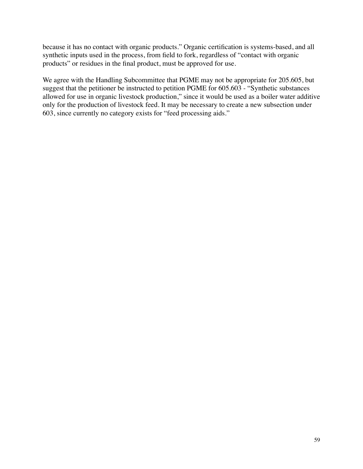because it has no contact with organic products." Organic certification is systems-based, and all synthetic inputs used in the process, from field to fork, regardless of "contact with organic products" or residues in the final product, must be approved for use.

We agree with the Handling Subcommittee that PGME may not be appropriate for 205.605, but suggest that the petitioner be instructed to petition PGME for 605.603 - "Synthetic substances allowed for use in organic livestock production," since it would be used as a boiler water additive only for the production of livestock feed. It may be necessary to create a new subsection under 603, since currently no category exists for "feed processing aids."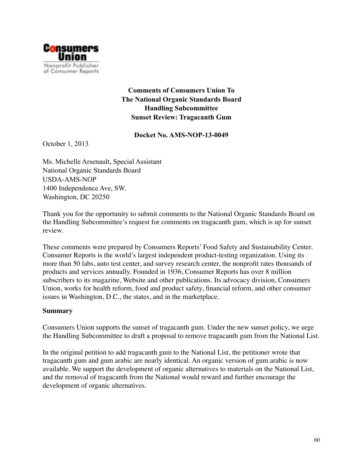

# **Comments of Consumers Union To The National Organic Standards Board Handling Subcommittee Sunset Review: Tragacanth Gum**

#### **Docket No. AMS-NOP-13-0049**

October 1, 2013

Ms. Michelle Arsenault, Special Assistant National Organic Standards Board USDA-AMS-NOP 1400 Independence Ave, SW. Washington, DC 20250

Thank you for the opportunity to submit comments to the National Organic Standards Board on the Handling Subcommittee's request for comments on tragacanth gum, which is up for sunset review.

These comments were prepared by Consumers Reports' Food Safety and Sustainability Center. Consumer Reports is the world's largest independent product-testing organization. Using its more than 50 labs, auto test center, and survey research center, the nonprofit rates thousands of products and services annually. Founded in 1936, Consumer Reports has over 8 million subscribers to its magazine, Website and other publications. Its advocacy division, Consumers Union, works for health reform, food and product safety, financial reform, and other consumer issues in Washington, D.C., the states, and in the marketplace.

#### **Summary**

Consumers Union supports the sunset of tragacanth gum. Under the new sunset policy, we urge the Handling Subcommittee to draft a proposal to remove tragacanth gum from the National List.

In the original petition to add tragacanth gum to the National List, the petitioner wrote that tragacanth gum and gum arabic are nearly identical. An organic version of gum arabic is now available. We support the development of organic alternatives to materials on the National List, and the removal of tragacanth from the National would reward and further encourage the development of organic alternatives.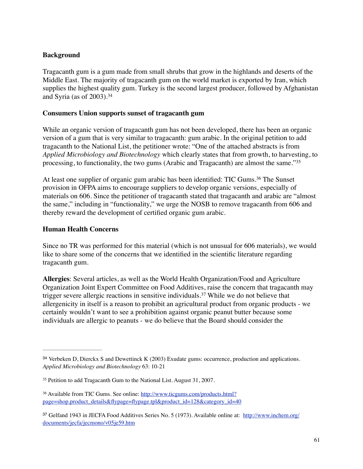## **Background**

Tragacanth gum is a gum made from small shrubs that grow in the highlands and deserts of the Middle East. The majority of tragacanth gum on the world market is exported by Iran, which supplies the highest quality gum. Turkey is the second largest producer, followed by Afghanistan and Syria (as of 2003).34

#### **Consumers Union supports sunset of tragacanth gum**

While an organic version of tragacanth gum has not been developed, there has been an organic version of a gum that is very similar to tragacanth: gum arabic. In the original petition to add tragacanth to the National List, the petitioner wrote: "One of the attached abstracts is from *Applied Microbiology and Biotechnology* which clearly states that from growth, to harvesting, to processing, to functionality, the two gums (Arabic and Tragacanth) are almost the same."35

At least one supplier of organic gum arabic has been identified: TIC Gums.<sup>36</sup> The Sunset provision in OFPA aims to encourage suppliers to develop organic versions, especially of materials on 606. Since the petitioner of tragacanth stated that tragacanth and arabic are "almost the same," including in "functionality," we urge the NOSB to remove tragacanth from 606 and thereby reward the development of certified organic gum arabic.

#### **Human Health Concerns**

Since no TR was performed for this material (which is not unusual for 606 materials), we would like to share some of the concerns that we identified in the scientific literature regarding tragacanth gum.

**Allergies**: Several articles, as well as the World Health Organization/Food and Agriculture Organization Joint Expert Committee on Food Additives, raise the concern that tragacanth may trigger severe allergic reactions in sensitive individuals.<sup>37</sup> While we do not believe that allergenicity in itself is a reason to prohibit an agricultural product from organic products - we certainly wouldn't want to see a prohibition against organic peanut butter because some individuals are allergic to peanuts - we do believe that the Board should consider the

<sup>&</sup>lt;sup>34</sup> Verbeken D, Dierckx S and Dewettinck K (2003) Exudate gums: occurrence, production and applications. *Applied Microbiology and Biotechnology* 63: 10-21

<sup>&</sup>lt;sup>35</sup> Petition to add Tragacanth Gum to the National List. August 31, 2007.

Available from TIC Gums. See online: http://www.ticgums.com/products.html? <sup>36</sup> page=shop.product\_details&flypage=flypage.tpl&product\_id=128&category\_id=40

<sup>&</sup>lt;sup>37</sup> Gelfand 1943 in JECFA Food Additives Series No. 5 (1973). Available online at: http://www.inchem.org/ documents/jecfa/jecmono/v05je59.htm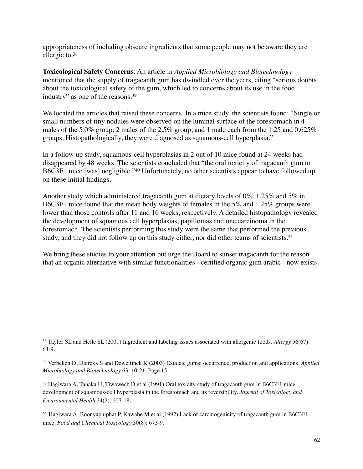appropriateness of including obscure ingredients that some people may not be aware they are allergic to.38

**Toxicological Safety Concerns**: An article in *Applied Microbiology and Biotechnology* mentioned that the supply of tragacanth gum has dwindled over the years, citing "serious doubts about the toxicological safety of the gum, which led to concerns about its use in the food industry" as one of the reasons.39

We located the articles that raised these concerns. In a mice study, the scientists found: "Single or small numbers of tiny nodules were observed on the luminal surface of the forestomach in 4 males of the 5.0% group, 2 males of the 2.5% group, and 1 male each from the 1.25 and 0.625% groups. Histopathologically, they were diagnosed as squamous-cell hyperplasia."

In a follow up study, squamous-cell hyperplasias in 2 out of 10 mice found at 24 weeks had disappeared by 48 weeks. The scientists concluded that "the oral toxicity of tragacanth gum to B6C3F1 mice [was] negligible."40 Unfortunately, no other scientists appear to have followed up on these initial findings.

Another study which administered tragacanth gum at dietary levels of 0%, 1.25% and 5% in B6C3F1 mice found that the mean body weights of females in the 5% and 1.25% groups were lower than those controls after 11 and 16 weeks, respectively. A detailed histopathology revealed the development of squamous cell hyperplasias, papillomas and one carcinoma in the forestomach. The scientists performing this study were the same that performed the previous study, and they did not follow up on this study either, nor did other teams of scientists.<sup>41</sup>

We bring these studies to your attention but urge the Board to sunset tragacanth for the reason that an organic alternative with similar functionalities - certified organic gum arabic - now exists.

Taylor SL and Hefle SL (2001) Ingredient and labeling issues associated with allergenic foods. *Allergy* 56(67): 38 64-9.

Verbeken D, Dierckx S and Dewettinck K (2003) Exudate gums: occurrence, production and applications. *Applied* <sup>39</sup> *Microbiology and Biotechnology* 63: 10-21. Page 15

<sup>&</sup>lt;sup>40</sup> Hagiwara A, Tanaka H, Tiwawech D et al (1991) Oral toxicity study of tragacanth gum in B6C3F1 mice: development of squamous-cell hyperplasia in the forestomach and its reversibility. *Journal of Toxicology and Environmental Health* 34(2): 207-18.

<sup>&</sup>lt;sup>41</sup> Hagiwara A, Boonyaphiphat P, Kawabe M et al (1992) Lack of carcinogenicity of tragacanth gum in B6C3F1 mice. *Food and Chemical Toxicology* 30(8): 673-9.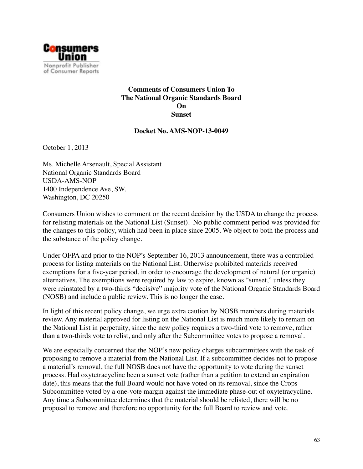

#### **Comments of Consumers Union To The National Organic Standards Board On Sunset**

#### **Docket No. AMS-NOP-13-0049**

October 1, 2013

Ms. Michelle Arsenault, Special Assistant National Organic Standards Board USDA-AMS-NOP 1400 Independence Ave, SW. Washington, DC 20250

Consumers Union wishes to comment on the recent decision by the USDA to change the process for relisting materials on the National List (Sunset). No public comment period was provided for the changes to this policy, which had been in place since 2005. We object to both the process and the substance of the policy change.

Under OFPA and prior to the NOP's September 16, 2013 announcement, there was a controlled process for listing materials on the National List. Otherwise prohibited materials received exemptions for a five-year period, in order to encourage the development of natural (or organic) alternatives. The exemptions were required by law to expire, known as "sunset," unless they were reinstated by a two-thirds "decisive" majority vote of the National Organic Standards Board (NOSB) and include a public review. This is no longer the case.

In light of this recent policy change, we urge extra caution by NOSB members during materials review. Any material approved for listing on the National List is much more likely to remain on the National List in perpetuity, since the new policy requires a two-third vote to remove, rather than a two-thirds vote to relist, and only after the Subcommittee votes to propose a removal.

We are especially concerned that the NOP's new policy charges subcommittees with the task of proposing to remove a material from the National List. If a subcommittee decides not to propose a material's removal, the full NOSB does not have the opportunity to vote during the sunset process. Had oxytetracycline been a sunset vote (rather than a petition to extend an expiration date), this means that the full Board would not have voted on its removal, since the Crops Subcommittee voted by a one-vote margin against the immediate phase-out of oxytetracycline. Any time a Subcommittee determines that the material should be relisted, there will be no proposal to remove and therefore no opportunity for the full Board to review and vote.